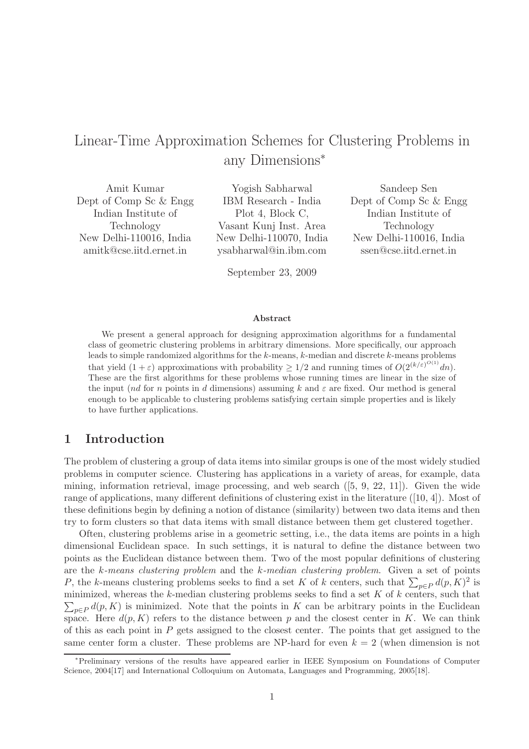# Linear-Time Approximation Schemes for Clustering Problems in any Dimensions<sup>∗</sup>

Amit Kumar Dept of Comp Sc & Engg Indian Institute of Technology New Delhi-110016, India amitk@cse.iitd.ernet.in

Yogish Sabharwal IBM Research - India Plot 4, Block C, Vasant Kunj Inst. Area New Delhi-110070, India ysabharwal@in.ibm.com

September 23, 2009

Sandeep Sen Dept of Comp Sc & Engg Indian Institute of Technology New Delhi-110016, India ssen@cse.iitd.ernet.in

#### Abstract

We present a general approach for designing approximation algorithms for a fundamental class of geometric clustering problems in arbitrary dimensions. More specifically, our approach leads to simple randomized algorithms for the  $k$ -means,  $k$ -median and discrete  $k$ -means problems that yield  $(1+\varepsilon)$  approximations with probability  $\geq 1/2$  and running times of  $O(2^{(k/\varepsilon)^{O(1)}}dn)$ . These are the first algorithms for these problems whose running times are linear in the size of the input (nd for n points in d dimensions) assuming k and  $\varepsilon$  are fixed. Our method is general enough to be applicable to clustering problems satisfying certain simple properties and is likely to have further applications.

# 1 Introduction

The problem of clustering a group of data items into similar groups is one of the most widely studied problems in computer science. Clustering has applications in a variety of areas, for example, data mining, information retrieval, image processing, and web search  $([5, 9, 22, 11])$ . Given the wide range of applications, many different definitions of clustering exist in the literature ([10, 4]). Most of these definitions begin by defining a notion of distance (similarity) between two data items and then try to form clusters so that data items with small distance between them get clustered together.

Often, clustering problems arise in a geometric setting, i.e., the data items are points in a high dimensional Euclidean space. In such settings, it is natural to define the distance between two points as the Euclidean distance between them. Two of the most popular definitions of clustering are the k-means clustering problem and the k-median clustering problem. Given a set of points P, the k-means clustering problems seeks to find a set K of k centers, such that  $\sum_{p\in P} d(p, K)^2$  is  $\sum_{p\in P} d(p, K)$  is minimized. Note that the points in K can be arbitrary points in the Euclidean minimized, whereas the  $k$ -median clustering problems seeks to find a set  $K$  of  $k$  centers, such that space. Here  $d(p, K)$  refers to the distance between p and the closest center in K. We can think of this as each point in  $P$  gets assigned to the closest center. The points that get assigned to the same center form a cluster. These problems are NP-hard for even  $k = 2$  (when dimension is not

<sup>∗</sup>Preliminary versions of the results have appeared earlier in IEEE Symposium on Foundations of Computer Science, 2004[17] and International Colloquium on Automata, Languages and Programming, 2005[18].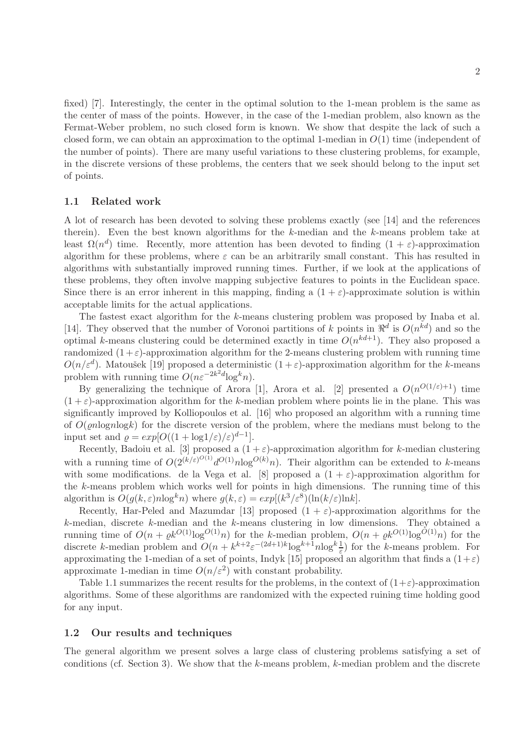fixed) [7]. Interestingly, the center in the optimal solution to the 1-mean problem is the same as the center of mass of the points. However, in the case of the 1-median problem, also known as the Fermat-Weber problem, no such closed form is known. We show that despite the lack of such a closed form, we can obtain an approximation to the optimal 1-median in  $O(1)$  time (independent of the number of points). There are many useful variations to these clustering problems, for example, in the discrete versions of these problems, the centers that we seek should belong to the input set of points.

#### 1.1 Related work

A lot of research has been devoted to solving these problems exactly (see [14] and the references therein). Even the best known algorithms for the k-median and the k-means problem take at least  $\Omega(n^d)$  time. Recently, more attention has been devoted to finding  $(1 + \varepsilon)$ -approximation algorithm for these problems, where  $\varepsilon$  can be an arbitrarily small constant. This has resulted in algorithms with substantially improved running times. Further, if we look at the applications of these problems, they often involve mapping subjective features to points in the Euclidean space. Since there is an error inherent in this mapping, finding a  $(1 + \varepsilon)$ -approximate solution is within acceptable limits for the actual applications.

The fastest exact algorithm for the k-means clustering problem was proposed by Inaba et al. [14]. They observed that the number of Voronoi partitions of k points in  $\mathbb{R}^d$  is  $O(n^{kd})$  and so the optimal k-means clustering could be determined exactly in time  $O(n^{kd+1})$ . They also proposed a randomized  $(1+\varepsilon)$ -approximation algorithm for the 2-means clustering problem with running time  $O(n/\varepsilon^d)$ . Matoušek [19] proposed a deterministic  $(1+\varepsilon)$ -approximation algorithm for the k-means problem with running time  $O(n\varepsilon^{-2k^2d} \log^k n)$ .

By generalizing the technique of Arora [1], Arora et al. [2] presented a  $O(n^{O(1/\varepsilon)+1})$  time  $(1+\varepsilon)$ -approximation algorithm for the k-median problem where points lie in the plane. This was significantly improved by Kolliopoulos et al. [16] who proposed an algorithm with a running time of  $O(\rho n \log n \log k)$  for the discrete version of the problem, where the medians must belong to the input set and  $\varrho = exp[O((1 + \log 1/\varepsilon)/\varepsilon)^{d-1}].$ 

Recently, Badoiu et al. [3] proposed a  $(1 + \varepsilon)$ -approximation algorithm for k-median clustering with a running time of  $O(2^{(k/\varepsilon)^{O(1)}} d^{O(1)} n \log^{O(k)} n)$ . Their algorithm can be extended to k-means with some modifications. de la Vega et al. [8] proposed a  $(1 + \varepsilon)$ -approximation algorithm for the k-means problem which works well for points in high dimensions. The running time of this algorithm is  $O(g(k, \varepsilon) n \log^k n)$  where  $g(k, \varepsilon) = exp[(k^3/\varepsilon^8)(\ln(k/\varepsilon) \ln k)]$ .

Recently, Har-Peled and Mazumdar [13] proposed  $(1 + \varepsilon)$ -approximation algorithms for the  $k$ -median, discrete  $k$ -median and the  $k$ -means clustering in low dimensions. They obtained a running time of  $O(n + \varrho k^{O(1)} \log^{O(1)} n)$  for the k-median problem,  $O(n + \varrho k^{O(1)} \log^{O(1)} n)$  for the discrete k-median problem and  $O(n + k^{k+2} \varepsilon^{-(2d+1)k} \log^{k+1} n \log^k \frac{1}{\varepsilon})$  for the k-means problem. For approximating the 1-median of a set of points, Indyk [15] proposed an algorithm that finds a  $(1+\varepsilon)$ approximate 1-median in time  $O(n/\varepsilon^2)$  with constant probability.

Table 1.1 summarizes the recent results for the problems, in the context of  $(1+\varepsilon)$ -approximation algorithms. Some of these algorithms are randomized with the expected ruining time holding good for any input.

### 1.2 Our results and techniques

The general algorithm we present solves a large class of clustering problems satisfying a set of conditions (cf. Section 3). We show that the  $k$ -means problem,  $k$ -median problem and the discrete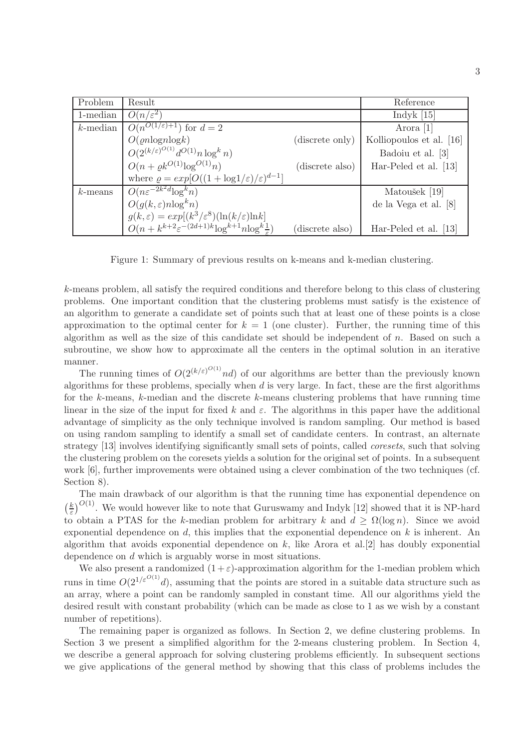| Problem     | Result                                                                  |                 | Reference                |
|-------------|-------------------------------------------------------------------------|-----------------|--------------------------|
| 1-median    | $O(n/\varepsilon^2)$                                                    |                 | Indyk $[15]$             |
| $k$ -median | $\overline{O(n^{O(1/\varepsilon)+1})}$ for $d=2$                        |                 | Arora [1]                |
|             | $O(\rho n \log n \log k)$                                               | (discrete only) | Kolliopoulos et al. [16] |
|             | $O(2^{(k/\varepsilon)^{O(1)}} d^{O(1)} n \log^k n)$                     |                 | Badoiu et al. [3]        |
|             | $O(n + \rho k^{O(1)} \log^{O(1)} n)$                                    | (discrete also) | Har-Peled et al. [13]    |
|             | where $\rho = exp[O((1 + log 1/\varepsilon)/\varepsilon)^{d-1}]$        |                 |                          |
| $k$ -means  | $O(n\varepsilon^{-2k^2d}\log^k n)$                                      |                 | Matoušek [19]            |
|             | $O(g(k,\varepsilon) n \log^k n)$                                        |                 | de la Vega et al. [8]    |
|             | $g(k,\varepsilon) = exp[(k^3/\varepsilon^8)(\ln(k/\varepsilon))\ln k]$  |                 |                          |
|             | $O(n + k^{k+2} \varepsilon^{-(2d+1)k} \log^{k+1} n \log^k \frac{1}{k})$ | discrete also   | Har-Peled et al. [13]    |

Figure 1: Summary of previous results on k-means and k-median clustering.

k-means problem, all satisfy the required conditions and therefore belong to this class of clustering problems. One important condition that the clustering problems must satisfy is the existence of an algorithm to generate a candidate set of points such that at least one of these points is a close approximation to the optimal center for  $k = 1$  (one cluster). Further, the running time of this algorithm as well as the size of this candidate set should be independent of  $n$ . Based on such a subroutine, we show how to approximate all the centers in the optimal solution in an iterative manner.

The running times of  $O(2^{(k/\varepsilon)^{O(1)}}nd)$  of our algorithms are better than the previously known algorithms for these problems, specially when  $d$  is very large. In fact, these are the first algorithms for the k-means, k-median and the discrete k-means clustering problems that have running time linear in the size of the input for fixed k and  $\varepsilon$ . The algorithms in this paper have the additional advantage of simplicity as the only technique involved is random sampling. Our method is based on using random sampling to identify a small set of candidate centers. In contrast, an alternate strategy [13] involves identifying significantly small sets of points, called coresets, such that solving the clustering problem on the coresets yields a solution for the original set of points. In a subsequent work [6], further improvements were obtained using a clever combination of the two techniques (cf. Section 8).

The main drawback of our algorithm is that the running time has exponential dependence on  $\frac{k}{k}$  $\frac{k}{\varepsilon}$ )<sup>O(1)</sup>. We would however like to note that Guruswamy and Indyk [12] showed that it is NP-hard to obtain a PTAS for the k-median problem for arbitrary k and  $d \geq \Omega(\log n)$ . Since we avoid exponential dependence on  $d$ , this implies that the exponential dependence on  $k$  is inherent. An algorithm that avoids exponential dependence on  $k$ , like Arora et al. [2] has doubly exponential dependence on d which is arguably worse in most situations.

We also present a randomized  $(1+\varepsilon)$ -approximation algorithm for the 1-median problem which runs in time  $O(2^{1/\varepsilon^{O(1)}}d)$ , assuming that the points are stored in a suitable data structure such as an array, where a point can be randomly sampled in constant time. All our algorithms yield the desired result with constant probability (which can be made as close to 1 as we wish by a constant number of repetitions).

The remaining paper is organized as follows. In Section 2, we define clustering problems. In Section 3 we present a simplified algorithm for the 2-means clustering problem. In Section 4, we describe a general approach for solving clustering problems efficiently. In subsequent sections we give applications of the general method by showing that this class of problems includes the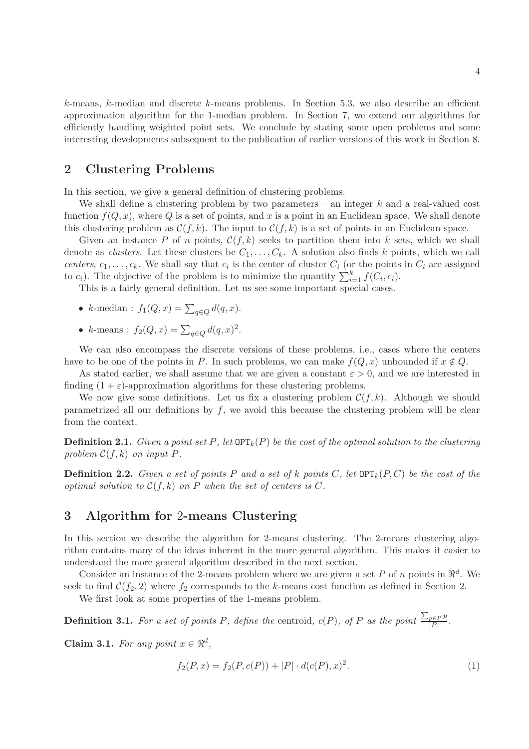k-means, k-median and discrete k-means problems. In Section 5.3, we also describe an efficient approximation algorithm for the 1-median problem. In Section 7, we extend our algorithms for efficiently handling weighted point sets. We conclude by stating some open problems and some interesting developments subsequent to the publication of earlier versions of this work in Section 8.

# 2 Clustering Problems

In this section, we give a general definition of clustering problems.

We shall define a clustering problem by two parameters – an integer  $k$  and a real-valued cost function  $f(Q, x)$ , where Q is a set of points, and x is a point in an Euclidean space. We shall denote this clustering problem as  $\mathcal{C}(f, k)$ . The input to  $\mathcal{C}(f, k)$  is a set of points in an Euclidean space.

Given an instance P of n points,  $C(f, k)$  seeks to partition them into k sets, which we shall denote as *clusters*. Let these clusters be  $C_1, \ldots, C_k$ . A solution also finds k points, which we call centers,  $c_1, \ldots, c_k$ . We shall say that  $c_i$  is the center of cluster  $C_i$  (or the points in  $C_i$  are assigned to  $c_i$ ). The objective of the problem is to minimize the quantity  $\sum_{i=1}^{k} f(C_i, c_i)$ .

This is a fairly general definition. Let us see some important special cases.

- k-median :  $f_1(Q, x) = \sum_{q \in Q} d(q, x)$ .
- k-means :  $f_2(Q, x) = \sum_{q \in Q} d(q, x)^2$ .

We can also encompass the discrete versions of these problems, i.e., cases where the centers have to be one of the points in P. In such problems, we can make  $f(Q, x)$  unbounded if  $x \notin Q$ .

As stated earlier, we shall assume that we are given a constant  $\varepsilon > 0$ , and we are interested in finding  $(1 + \varepsilon)$ -approximation algorithms for these clustering problems.

We now give some definitions. Let us fix a clustering problem  $\mathcal{C}(f, k)$ . Although we should parametrized all our definitions by  $f$ , we avoid this because the clustering problem will be clear from the context.

**Definition 2.1.** Given a point set P, let  $\text{OPT}_k(P)$  be the cost of the optimal solution to the clustering problem  $\mathcal{C}(f,k)$  on input P.

**Definition 2.2.** Given a set of points P and a set of k points C, let  $\text{OPT}_k(P, C)$  be the cost of the optimal solution to  $\mathcal{C}(f,k)$  on P when the set of centers is C.

# 3 Algorithm for 2-means Clustering

In this section we describe the algorithm for 2-means clustering. The 2-means clustering algorithm contains many of the ideas inherent in the more general algorithm. This makes it easier to understand the more general algorithm described in the next section.

Consider an instance of the 2-means problem where we are given a set P of n points in  $\mathbb{R}^d$ . We seek to find  $\mathcal{C}(f_2, 2)$  where  $f_2$  corresponds to the k-means cost function as defined in Section 2.

We first look at some properties of the 1-means problem.

**Definition 3.1.** For a set of points P, define the centroid,  $c(P)$ , of P as the point  $\frac{\sum_{p \in P} p}{|P|}$  $\frac{p\in P}{|P|}$ .

Claim 3.1. For any point  $x \in \mathbb{R}^d$ ,

$$
f_2(P, x) = f_2(P, c(P)) + |P| \cdot d(c(P), x)^2.
$$
 (1)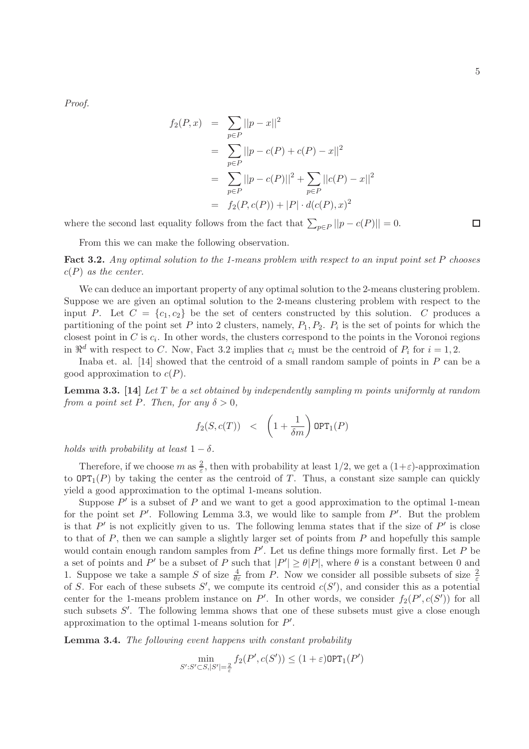$\Box$ 

Proof.

$$
f_2(P, x) = \sum_{p \in P} ||p - x||^2
$$
  
= 
$$
\sum_{p \in P} ||p - c(P) + c(P) - x||^2
$$
  
= 
$$
\sum_{p \in P} ||p - c(P)||^2 + \sum_{p \in P} ||c(P) - x||^2
$$
  
= 
$$
f_2(P, c(P)) + |P| \cdot d(c(P), x)^2
$$

where the second last equality follows from the fact that  $\sum_{p \in P} ||p - c(P)|| = 0$ .

From this we can make the following observation.

Fact 3.2. Any optimal solution to the 1-means problem with respect to an input point set P chooses  $c(P)$  as the center.

We can deduce an important property of any optimal solution to the 2-means clustering problem. Suppose we are given an optimal solution to the 2-means clustering problem with respect to the input P. Let  $C = \{c_1, c_2\}$  be the set of centers constructed by this solution. C produces a partitioning of the point set P into 2 clusters, namely,  $P_1, P_2, P_i$  is the set of points for which the closest point in C is  $c_i$ . In other words, the clusters correspond to the points in the Voronoi regions in  $\mathbb{R}^d$  with respect to C. Now, Fact 3.2 implies that  $c_i$  must be the centroid of  $P_i$  for  $i = 1, 2$ .

Inaba et. al. [14] showed that the centroid of a small random sample of points in  $P$  can be a good approximation to  $c(P)$ .

**Lemma 3.3.** [14] Let T be a set obtained by independently sampling m points uniformly at random from a point set P. Then, for any  $\delta > 0$ ,

$$
f_2(S, c(T)) \quad < \quad \left(1 + \frac{1}{\delta m}\right) \text{OPT}_1(P)
$$

holds with probability at least  $1 - \delta$ .

Therefore, if we choose m as  $\frac{2}{\varepsilon}$ , then with probability at least 1/2, we get a  $(1+\varepsilon)$ -approximation to  $\text{OPT}_1(P)$  by taking the center as the centroid of T. Thus, a constant size sample can quickly yield a good approximation to the optimal 1-means solution.

Suppose  $P'$  is a subset of  $P$  and we want to get a good approximation to the optimal 1-mean for the point set  $P'$ . Following Lemma 3.3, we would like to sample from  $P'$ . But the problem is that  $P'$  is not explicitly given to us. The following lemma states that if the size of  $P'$  is close to that of  $P$ , then we can sample a slightly larger set of points from  $P$  and hopefully this sample would contain enough random samples from  $P'$ . Let us define things more formally first. Let  $P$  be a set of points and P' be a subset of P such that  $|P'| \ge \theta |P|$ , where  $\theta$  is a constant between 0 and 1. Suppose we take a sample S of size  $\frac{4}{\theta \varepsilon}$  from P. Now we consider all possible subsets of size  $\frac{2}{\varepsilon}$ of S. For each of these subsets S', we compute its centroid  $c(S')$ , and consider this as a potential center for the 1-means problem instance on  $P'$ . In other words, we consider  $f_2(P', c(S'))$  for all such subsets  $S'$ . The following lemma shows that one of these subsets must give a close enough approximation to the optimal 1-means solution for  $P'$ .

Lemma 3.4. The following event happens with constant probability

$$
\min_{S': S' \subset S, |S'| = \frac{2}{\varepsilon}} f_2(P', c(S')) \le (1 + \varepsilon) \text{OPT}_1(P')
$$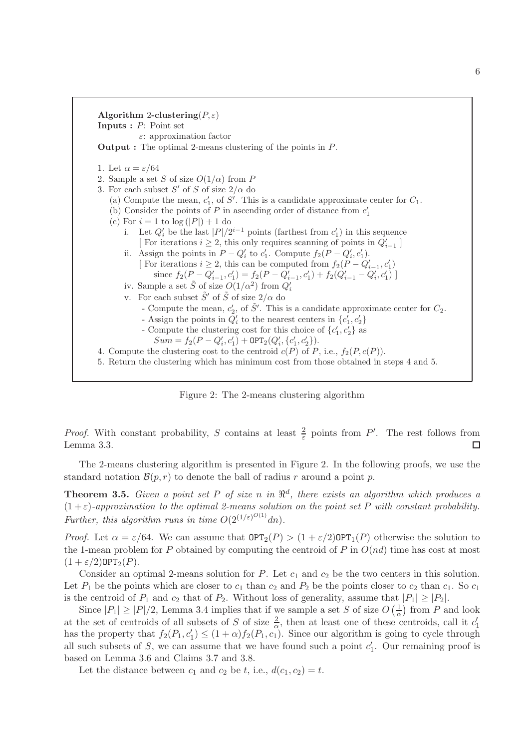

Figure 2: The 2-means clustering algorithm

*Proof.* With constant probability, S contains at least  $\frac{2}{\varepsilon}$  points from P'. The rest follows from Lemma 3.3.  $\Box$ 

The 2-means clustering algorithm is presented in Figure 2. In the following proofs, we use the standard notation  $\mathcal{B}(p,r)$  to denote the ball of radius r around a point p.

**Theorem 3.5.** Given a point set P of size n in  $\mathbb{R}^d$ , there exists an algorithm which produces a  $(1+\varepsilon)$ -approximation to the optimal 2-means solution on the point set P with constant probability. Further, this algorithm runs in time  $O(2^{(1/\varepsilon)^{O(1)}}dn)$ .

*Proof.* Let  $\alpha = \varepsilon/64$ . We can assume that  $\text{OPT}_2(P) > (1 + \varepsilon/2)\text{OPT}_1(P)$  otherwise the solution to the 1-mean problem for P obtained by computing the centroid of P in  $O(nd)$  time has cost at most  $(1 + \varepsilon/2)$ OPT<sub>2</sub> $(P)$ .

Consider an optimal 2-means solution for P. Let  $c_1$  and  $c_2$  be the two centers in this solution. Let  $P_1$  be the points which are closer to  $c_1$  than  $c_2$  and  $P_2$  be the points closer to  $c_2$  than  $c_1$ . So  $c_1$ is the centroid of  $P_1$  and  $c_2$  that of  $P_2$ . Without loss of generality, assume that  $|P_1| \geq |P_2|$ .

Since  $|P_1| \geq |P|/2$ , Lemma 3.4 implies that if we sample a set S of size  $O\left(\frac{1}{\alpha}\right)$  $\frac{1}{\alpha}$ ) from P and look at the set of centroids of all subsets of S of size  $\frac{2}{\alpha}$ , then at least one of these centroids, call it  $c'_1$ has the property that  $f_2(P_1, c'_1) \leq (1 + \alpha) f_2(P_1, c_1)$ . Since our algorithm is going to cycle through all such subsets of  $S$ , we can assume that we have found such a point  $c'_1$ . Our remaining proof is based on Lemma 3.6 and Claims 3.7 and 3.8.

Let the distance between  $c_1$  and  $c_2$  be t, i.e.,  $d(c_1, c_2) = t$ .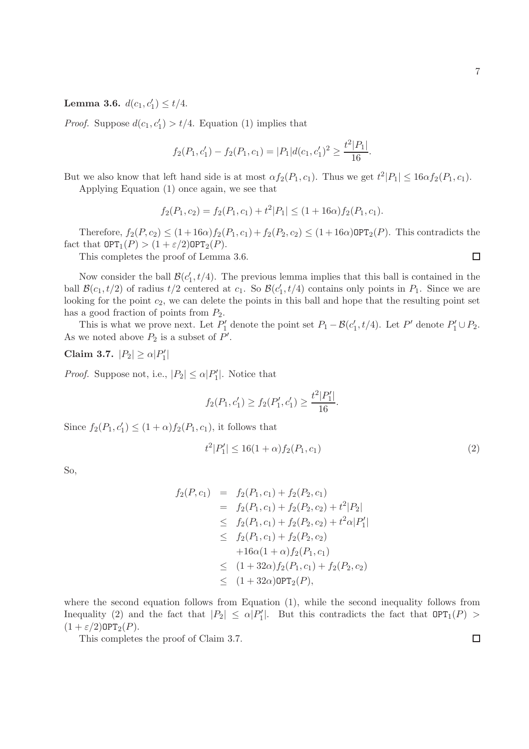$\Box$ 

**Lemma 3.6.**  $d(c_1, c'_1) \le t/4$ .

*Proof.* Suppose  $d(c_1, c'_1) > t/4$ . Equation (1) implies that

$$
f_2(P_1, c'_1) - f_2(P_1, c_1) = |P_1|d(c_1, c'_1)^2 \ge \frac{t^2|P_1|}{16}.
$$

But we also know that left hand side is at most  $\alpha f_2(P_1, c_1)$ . Thus we get  $t^2|P_1| \leq 16\alpha f_2(P_1, c_1)$ .

Applying Equation (1) once again, we see that

$$
f_2(P_1, c_2) = f_2(P_1, c_1) + t^2 |P_1| \le (1 + 16\alpha) f_2(P_1, c_1).
$$

Therefore,  $f_2(P, c_2) \leq (1 + 16\alpha) f_2(P_1, c_1) + f_2(P_2, c_2) \leq (1 + 16\alpha) \text{OPT}_2(P)$ . This contradicts the fact that  $\text{OPT}_1(P) > (1 + \varepsilon/2) \text{OPT}_2(P)$ .

This completes the proof of Lemma 3.6.

Now consider the ball  $\mathcal{B}(c'_1,t/4)$ . The previous lemma implies that this ball is contained in the ball  $\mathcal{B}(c_1, t/2)$  of radius  $t/2$  centered at  $c_1$ . So  $\mathcal{B}(c'_1, t/4)$  contains only points in  $P_1$ . Since we are looking for the point  $c_2$ , we can delete the points in this ball and hope that the resulting point set has a good fraction of points from  $P_2$ .

This is what we prove next. Let  $P'_1$  denote the point set  $P_1 - \mathcal{B}(c'_1, t/4)$ . Let  $P'$  denote  $P'_1 \cup P_2$ . As we noted above  $P_2$  is a subset of  $P'$ .

Claim 3.7.  $|P_2| \ge \alpha |P'_1|$ 

*Proof.* Suppose not, i.e.,  $|P_2| \le \alpha |P'_1|$ . Notice that

$$
f_2(P_1, c'_1) \ge f_2(P'_1, c'_1) \ge \frac{t^2|P'_1|}{16}.
$$

Since  $f_2(P_1, c'_1) \le (1 + \alpha) f_2(P_1, c_1)$ , it follows that

$$
t^2|P_1'| \le 16(1+\alpha)f_2(P_1,c_1)
$$
\n(2)

So,

$$
f_2(P, c_1) = f_2(P_1, c_1) + f_2(P_2, c_1)
$$
  
\n
$$
= f_2(P_1, c_1) + f_2(P_2, c_2) + t^2 |P_2|
$$
  
\n
$$
\leq f_2(P_1, c_1) + f_2(P_2, c_2) + t^2 \alpha |P'_1|
$$
  
\n
$$
\leq f_2(P_1, c_1) + f_2(P_2, c_2)
$$
  
\n
$$
+ 16\alpha(1 + \alpha) f_2(P_1, c_1)
$$
  
\n
$$
\leq (1 + 32\alpha) f_2(P_1, c_1) + f_2(P_2, c_2)
$$
  
\n
$$
\leq (1 + 32\alpha) \text{OPT}_2(P),
$$

where the second equation follows from Equation (1), while the second inequality follows from Inequality (2) and the fact that  $|P_2| \le \alpha |P'_1|$ . But this contradicts the fact that  $\text{OPT}_1(P)$  $(1 + \varepsilon/2)$ OPT<sub>2</sub> $(P)$ .

This completes the proof of Claim 3.7.

 $\Box$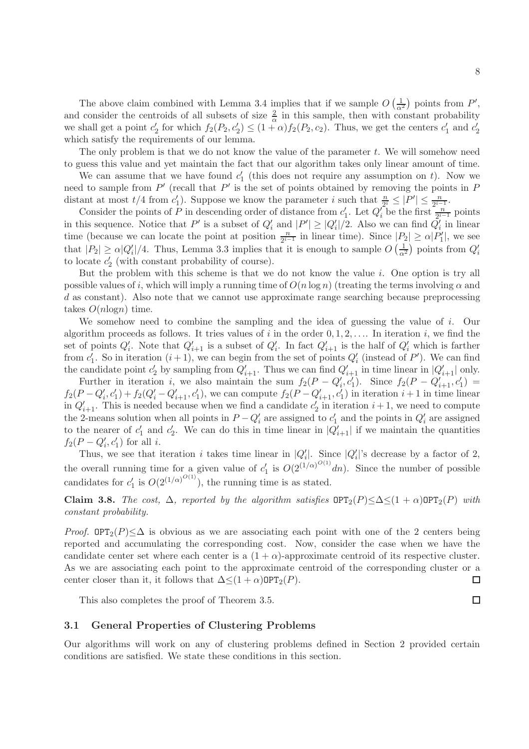The only problem is that we do not know the value of the parameter  $t$ . We will somehow need to guess this value and yet maintain the fact that our algorithm takes only linear amount of time.

We can assume that we have found  $c'_1$  (this does not require any assumption on t). Now we need to sample from  $P'$  (recall that  $P'$  is the set of points obtained by removing the points in  $P$ distant at most  $t/4$  from  $c'_1$ ). Suppose we know the parameter i such that  $\frac{n}{2^i} \leq |P'| \leq \frac{n}{2^{i-1}}$ .

Consider the points of P in descending order of distance from  $c'_1$ . Let  $Q_i'$  be the first  $\frac{n}{2^{i-1}}$  points in this sequence. Notice that P' is a subset of  $Q'_i$  and  $|P'| \ge |Q'_i|/2$ . Also we can find  $Q'_i$  in linear time (because we can locate the point at position  $\frac{n}{2^{i-1}}$  in linear time). Since  $|P_2| \ge \alpha |P'_1|$ , we see that  $|P_2| \ge \alpha |Q'_i|/4$ . Thus, Lemma 3.3 implies that it is enough to sample  $O\left(\frac{1}{\alpha^2}\right)$  points from  $Q'_i$ to locate  $c_2'$  (with constant probability of course).

But the problem with this scheme is that we do not know the value i. One option is try all possible values of i, which will imply a running time of  $O(n \log n)$  (treating the terms involving  $\alpha$  and d as constant). Also note that we cannot use approximate range searching because preprocessing takes  $O(n \log n)$  time.

We somehow need to combine the sampling and the idea of guessing the value of i. Our algorithm proceeds as follows. It tries values of i in the order  $0, 1, 2, \ldots$  In iteration i, we find the set of points  $Q'_i$ . Note that  $Q'_{i+1}$  is a subset of  $Q'_i$ . In fact  $Q'_{i+1}$  is the half of  $Q'_i$  which is farther from  $c'_1$ . So in iteration  $(i + 1)$ , we can begin from the set of points  $Q'_i$  (instead of P'). We can find the candidate point  $c'_2$  by sampling from  $Q'_{i+1}$ . Thus we can find  $Q'_{i+1}$  in time linear in  $|Q'_{i+1}|$  only.

Further in iteration i, we also maintain the sum  $f_2(P - Q'_i, c'_1)$ . Since  $f_2(P - Q'_{i+1}, c'_1) =$  $f_2(P - Q'_i, c'_1) + f_2(Q'_i - Q'_{i+1}, c'_1)$ , we can compute  $f_2(P - Q'_{i+1}, c'_1)$  in iteration  $i+1$  in time linear in  $Q'_{i+1}$ . This is needed because when we find a candidate  $c'_2$  in iteration  $i+1$ , we need to compute the 2-means solution when all points in  $P - Q'_{i}$  are assigned to  $c'_{1}$  and the points in  $Q'_{i}$  are assigned to the nearer of  $c'_1$  and  $c'_2$ . We can do this in time linear in  $|Q'_{i+1}|$  if we maintain the quantities  $f_2(P - Q'_i, c'_1)$  for all *i*.

Thus, we see that iteration i takes time linear in  $|Q'_i|$ . Since  $|Q'_i|$ 's decrease by a factor of 2, the overall running time for a given value of  $c'_1$  is  $O(2^{(1/\alpha)^{O(1)}}dn)$ . Since the number of possible candidates for  $c'_1$  is  $O(2^{(1/\alpha)^{O(1)}})$ , the running time is as stated.

Claim 3.8. The cost,  $\Delta$ , reported by the algorithm satisfies  $\text{OPT}_2(P) \leq \Delta \leq (1 + \alpha) \text{OPT}_2(P)$  with constant probability.

*Proof.* OPT<sub>2</sub> $(P) \leq \Delta$  is obvious as we are associating each point with one of the 2 centers being reported and accumulating the corresponding cost. Now, consider the case when we have the candidate center set where each center is a  $(1 + \alpha)$ -approximate centroid of its respective cluster. As we are associating each point to the approximate centroid of the corresponding cluster or a center closer than it, it follows that  $\Delta \leq (1 + \alpha) \text{OPT}_2(P)$ .  $\Box$ 

This also completes the proof of Theorem 3.5.

#### 3.1 General Properties of Clustering Problems

Our algorithms will work on any of clustering problems defined in Section 2 provided certain conditions are satisfied. We state these conditions in this section.

 $\Box$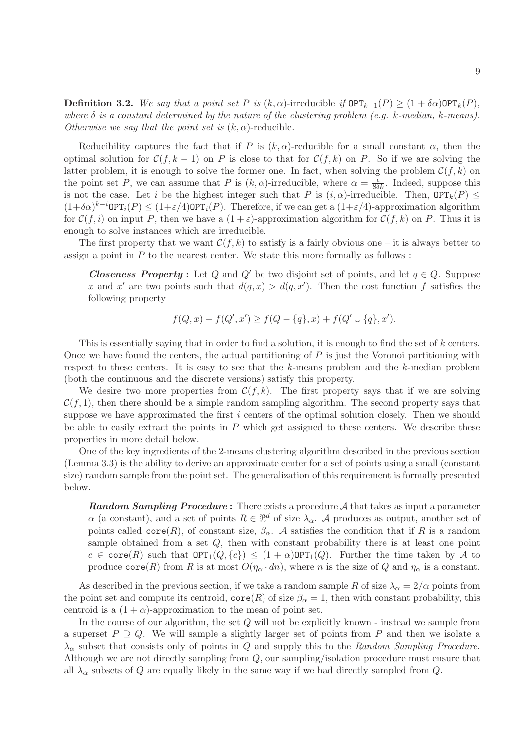**Definition 3.2.** We say that a point set P is  $(k, \alpha)$ -irreducible if  $\text{OPT}_{k-1}(P) \geq (1 + \delta \alpha) \text{OPT}_k(P)$ , where  $\delta$  is a constant determined by the nature of the clustering problem (e.g. k-median, k-means). Otherwise we say that the point set is  $(k, \alpha)$ -reducible.

Reducibility captures the fact that if P is  $(k, \alpha)$ -reducible for a small constant  $\alpha$ , then the optimal solution for  $\mathcal{C}(f, k-1)$  on P is close to that for  $\mathcal{C}(f, k)$  on P. So if we are solving the latter problem, it is enough to solve the former one. In fact, when solving the problem  $\mathcal{C}(f, k)$  on the point set P, we can assume that P is  $(k, \alpha)$ -irreducible, where  $\alpha = \frac{\epsilon}{8\delta k}$ . Indeed, suppose this is not the case. Let i be the highest integer such that P is  $(i, \alpha)$ -irreducible. Then,  $\mathsf{OPT}_k(P) \leq$  $(1+\delta\alpha)^{k-i}$ OPT<sub>i</sub> $(P) \leq (1+\varepsilon/4)$ OPT<sub>i</sub> $(P)$ . Therefore, if we can get a  $(1+\varepsilon/4)$ -approximation algorithm for  $\mathcal{C}(f, i)$  on input P, then we have a  $(1 + \varepsilon)$ -approximation algorithm for  $\mathcal{C}(f, k)$  on P. Thus it is enough to solve instances which are irreducible.

The first property that we want  $\mathcal{C}(f, k)$  to satisfy is a fairly obvious one – it is always better to assign a point in  $P$  to the nearest center. We state this more formally as follows :

**Closeness Property**: Let Q and Q' be two disjoint set of points, and let  $q \in Q$ . Suppose x and x' are two points such that  $d(q, x) > d(q, x')$ . Then the cost function f satisfies the following property

$$
f(Q, x) + f(Q', x') \ge f(Q - \{q\}, x) + f(Q' \cup \{q\}, x').
$$

This is essentially saying that in order to find a solution, it is enough to find the set of k centers. Once we have found the centers, the actual partitioning of  $P$  is just the Voronoi partitioning with respect to these centers. It is easy to see that the k-means problem and the k-median problem (both the continuous and the discrete versions) satisfy this property.

We desire two more properties from  $\mathcal{C}(f, k)$ . The first property says that if we are solving  $\mathcal{C}(f, 1)$ , then there should be a simple random sampling algorithm. The second property says that suppose we have approximated the first i centers of the optimal solution closely. Then we should be able to easily extract the points in  $P$  which get assigned to these centers. We describe these properties in more detail below.

One of the key ingredients of the 2-means clustering algorithm described in the previous section (Lemma 3.3) is the ability to derive an approximate center for a set of points using a small (constant size) random sample from the point set. The generalization of this requirement is formally presented below.

**Random Sampling Procedure:** There exists a procedure  $A$  that takes as input a parameter  $\alpha$  (a constant), and a set of points  $R \in \mathbb{R}^d$  of size  $\lambda_\alpha$ . A produces as output, another set of points called  $\text{core}(R)$ , of constant size,  $\beta_{\alpha}$ . A satisfies the condition that if R is a random sample obtained from a set  $Q$ , then with constant probability there is at least one point  $c \in \text{core}(R)$  such that  $\text{OPT}_1(Q, \{c\}) \leq (1+\alpha)\text{OPT}_1(Q)$ . Further the time taken by A to produce  $\text{core}(R)$  from R is at most  $O(\eta_\alpha \cdot dn)$ , where n is the size of Q and  $\eta_\alpha$  is a constant.

As described in the previous section, if we take a random sample R of size  $\lambda_{\alpha} = 2/\alpha$  points from the point set and compute its centroid,  $\text{core}(R)$  of size  $\beta_{\alpha} = 1$ , then with constant probability, this centroid is a  $(1 + \alpha)$ -approximation to the mean of point set.

In the course of our algorithm, the set Q will not be explicitly known - instead we sample from a superset  $P \supseteq Q$ . We will sample a slightly larger set of points from P and then we isolate a  $\lambda_{\alpha}$  subset that consists only of points in Q and supply this to the Random Sampling Procedure. Although we are not directly sampling from Q, our sampling/isolation procedure must ensure that all  $\lambda_{\alpha}$  subsets of Q are equally likely in the same way if we had directly sampled from Q.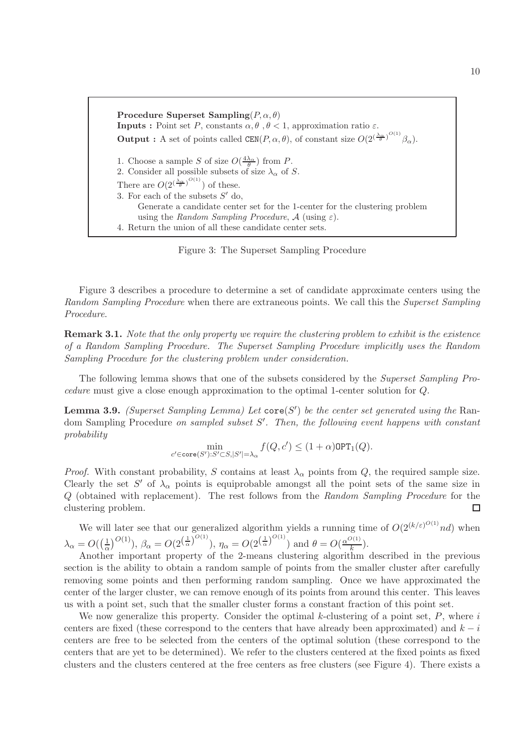Procedure Superset Sampling( $P, \alpha, \theta$ ) **Inputs :** Point set P, constants  $\alpha, \theta, \theta < 1$ , approximation ratio  $\varepsilon$ . **Output :** A set of points called  $CEM(P, \alpha, \theta)$ , of constant size  $O(2^{\left(\frac{\lambda_{\alpha}}{\theta}\right)^{O(1)}}\beta_{\alpha})$ . 1. Choose a sample S of size  $O(\frac{4\lambda_{\alpha}}{\theta})$  from P. 2. Consider all possible subsets of size  $\lambda_{\alpha}$  of S. There are  $O(2^{\left(\frac{\lambda_{\alpha}}{\theta}\right)^{O(1)}})$  of these. 3. For each of the subsets  $S'$  do, Generate a candidate center set for the 1-center for the clustering problem using the Random Sampling Procedure,  $\mathcal A$  (using  $\varepsilon$ ). 4. Return the union of all these candidate center sets.

Figure 3: The Superset Sampling Procedure

Figure 3 describes a procedure to determine a set of candidate approximate centers using the Random Sampling Procedure when there are extraneous points. We call this the Superset Sampling Procedure.

Remark 3.1. Note that the only property we require the clustering problem to exhibit is the existence of a Random Sampling Procedure. The Superset Sampling Procedure implicitly uses the Random Sampling Procedure for the clustering problem under consideration.

The following lemma shows that one of the subsets considered by the Superset Sampling Procedure must give a close enough approximation to the optimal 1-center solution for Q.

**Lemma 3.9.** (Superset Sampling Lemma) Let  $\mathsf{core}(S')$  be the center set generated using the Random Sampling Procedure on sampled subset S'. Then, the following event happens with constant probability

$$
\min_{c' \in \operatorname{core}(S'): S' \subset S, |S'| = \lambda_\alpha} f(Q, c') \leq (1+\alpha)\operatorname{OPT}_1(Q).
$$

*Proof.* With constant probability, S contains at least  $\lambda_{\alpha}$  points from Q, the required sample size. Clearly the set  $S'$  of  $\lambda_{\alpha}$  points is equiprobable amongst all the point sets of the same size in Q (obtained with replacement). The rest follows from the Random Sampling Procedure for the clustering problem. □

We will later see that our generalized algorithm yields a running time of  $O(2^{(k/\varepsilon)^{O(1)}}nd)$  when  $\lambda_{\alpha}=O(\left(\frac{1}{\alpha}\right)$  $\frac{1}{\alpha}$ ,  $O(1)$ ,  $\beta_{\alpha} = O(2^{\left(\frac{1}{\alpha}\right)^{O(1)}})$ ,  $\eta_{\alpha} = O(2^{\left(\frac{1}{\alpha}\right)^{O(1)}})$  and  $\theta = O(\frac{\alpha^{O(1)}}{k})$  $\frac{\lambda(1)}{k}$ ).

Another important property of the 2-means clustering algorithm described in the previous section is the ability to obtain a random sample of points from the smaller cluster after carefully removing some points and then performing random sampling. Once we have approximated the center of the larger cluster, we can remove enough of its points from around this center. This leaves us with a point set, such that the smaller cluster forms a constant fraction of this point set.

We now generalize this property. Consider the optimal  $k$ -clustering of a point set,  $P$ , where  $i$ centers are fixed (these correspond to the centers that have already been approximated) and  $k - i$ centers are free to be selected from the centers of the optimal solution (these correspond to the centers that are yet to be determined). We refer to the clusters centered at the fixed points as fixed clusters and the clusters centered at the free centers as free clusters (see Figure 4). There exists a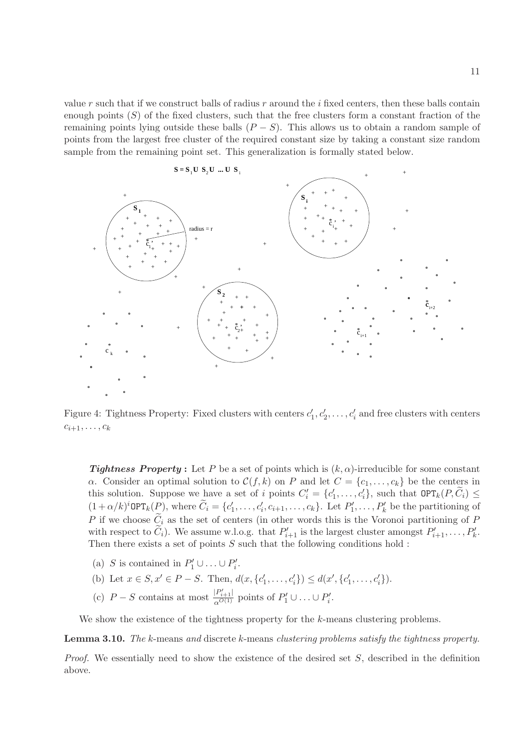value r such that if we construct balls of radius r around the  $i$  fixed centers, then these balls contain enough points  $(S)$  of the fixed clusters, such that the free clusters form a constant fraction of the remaining points lying outside these balls  $(P - S)$ . This allows us to obtain a random sample of points from the largest free cluster of the required constant size by taking a constant size random sample from the remaining point set. This generalization is formally stated below.



Figure 4: Tightness Property: Fixed clusters with centers  $c'_1, c'_2, \ldots, c'_i$  and free clusters with centers  $c_{i+1}, \ldots, c_k$ 

**Tightness Property**: Let P be a set of points which is  $(k, \alpha)$ -irreducible for some constant α. Consider an optimal solution to  $C(f, k)$  on P and let  $C = \{c_1, \ldots, c_k\}$  be the centers in this solution. Suppose we have a set of i points  $C'_i = \{c'_1, \ldots, c'_i\}$ , such that  $\text{OPT}_k(P, \tilde{C}_i) \leq$  $(1+\alpha/k)^i$ OPT<sub>k</sub> $(P)$ , where  $\widetilde{C}_i = \{c'_1, \ldots, c'_i, c_{i+1}, \ldots, c_k\}$ . Let  $P'_1, \ldots, P'_k$  be the partitioning of P if we choose  $C_i$  as the set of centers (in other words this is the Voronoi partitioning of P with respect to  $\tilde{C}_i$ ). We assume w.l.o.g. that  $P'_{i+1}$  is the largest cluster amongst  $P'_{i+1}, \ldots, P'_{k}$ . Then there exists a set of points  $S$  such that the following conditions hold :

- (a) S is contained in  $P'_1 \cup ... \cup P'_i$ .
- (b) Let  $x \in S, x' \in P S$ . Then,  $d(x, \{c'_1, \ldots, c'_i\}) \leq d(x', \{c'_1, \ldots, c'_i\})$ .
- (c)  $P-S$  contains at most  $\frac{|P'_{i+1}|}{\alpha^{O(1)}}$  points of  $P'_1 \cup ... \cup P'_i$ .

We show the existence of the tightness property for the k-means clustering problems.

Lemma 3.10. The k-means and discrete k-means clustering problems satisfy the tightness property.

*Proof.* We essentially need to show the existence of the desired set  $S$ , described in the definition above.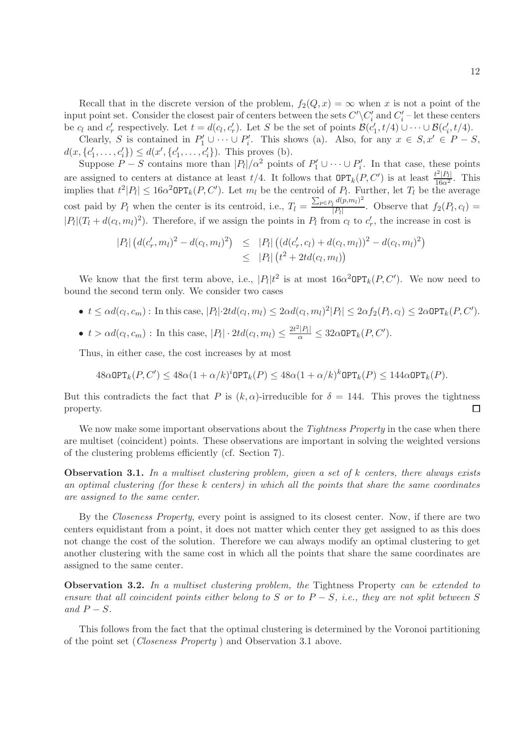Recall that in the discrete version of the problem,  $f_2(Q, x) = \infty$  when x is not a point of the input point set. Consider the closest pair of centers between the sets  $C'\backslash C'_i$  and  $C'_i$  – let these centers be  $c_l$  and  $c'_r$  respectively. Let  $t = d(c_l, c'_r)$ . Let S be the set of points  $\mathcal{B}(c'_1, t/4) \cup \cdots \cup \mathcal{B}(c'_i, t/4)$ .

Clearly, S is contained in  $P'_1 \cup \cdots \cup P'_i$ . This shows (a). Also, for any  $x \in S, x' \in P - S$ ,  $d(x, \{c'_1, \ldots, c'_i\}) \leq d(x', \{c'_1, \ldots, c'_i\})$ . This proves (b).

Suppose  $P-S$  contains more than  $|P_1|/\alpha^2$  points of  $P'_1 \cup \cdots \cup P'_i$ . In that case, these points are assigned to centers at distance at least  $t/4$ . It follows that  $\mathsf{OPT}_k(P, C')$  is at least  $\frac{t^2|P_l|}{16\alpha^2}$ . This implies that  $t^2|P_l| \leq 16\alpha^2 \text{OPT}_k(P, C')$ . Let  $m_l$  be the centroid of  $P_l$ . Further, let  $T_l$  be the average cost paid by  $P_l$  when the center is its centroid, i.e.,  $T_l = \frac{\sum_{p \in P_l} d(p,m_l)^2}{|P_l|}$  $\frac{1}{|P_l|}$ . Observe that  $f_2(P_l, c_l) =$  $|P_l|(T_l + d(c_l, m_l)^2)$ . Therefore, if we assign the points in  $P_l$  from  $c_l$  to  $c'_r$ , the increase in cost is

$$
|P_l| (d(c'_r, m_l)^2 - d(c_l, m_l)^2) \leq |P_l| ((d(c'_r, c_l) + d(c_l, m_l))^2 - d(c_l, m_l)^2)
$$
  

$$
\leq |P_l| (t^2 + 2td(c_l, m_l))
$$

We know that the first term above, i.e.,  $|P_l|t^2$  is at most  $16\alpha^2\text{OPT}_k(P, C')$ . We now need to bound the second term only. We consider two cases

- $t \leq \alpha d(c_l, c_m)$ : In this case,  $|P_l| \cdot 2td(c_l, m_l) \leq 2\alpha d(c_l, m_l)^2 |P_l| \leq 2\alpha f_2(P_l, c_l) \leq 2\alpha \text{OPT}_k(P, C').$
- $t > \alpha d(c_l, c_m)$ : In this case,  $|P_l| \cdot 2td(c_l, m_l) \leq \frac{2t^2|P_l|}{\alpha} \leq 32\alpha \text{OPT}_k(P, C').$

Thus, in either case, the cost increases by at most

 $48\alpha \text{OPT}_k(P, C') \leq 48\alpha (1 + \alpha/k)^i \text{OPT}_k(P) \leq 48\alpha (1 + \alpha/k)^k \text{OPT}_k(P) \leq 144\alpha \text{OPT}_k(P).$ 

But this contradicts the fact that P is  $(k, \alpha)$ -irreducible for  $\delta = 144$ . This proves the tightness □ property.

We now make some important observations about the *Tightness Property* in the case when there are multiset (coincident) points. These observations are important in solving the weighted versions of the clustering problems efficiently (cf. Section 7).

**Observation 3.1.** In a multiset clustering problem, given a set of  $k$  centers, there always exists an optimal clustering (for these k centers) in which all the points that share the same coordinates are assigned to the same center.

By the Closeness Property, every point is assigned to its closest center. Now, if there are two centers equidistant from a point, it does not matter which center they get assigned to as this does not change the cost of the solution. Therefore we can always modify an optimal clustering to get another clustering with the same cost in which all the points that share the same coordinates are assigned to the same center.

Observation 3.2. In a multiset clustering problem, the Tightness Property can be extended to ensure that all coincident points either belong to S or to  $P-S$ , i.e., they are not split between S and  $P-S$ .

This follows from the fact that the optimal clustering is determined by the Voronoi partitioning of the point set (Closeness Property ) and Observation 3.1 above.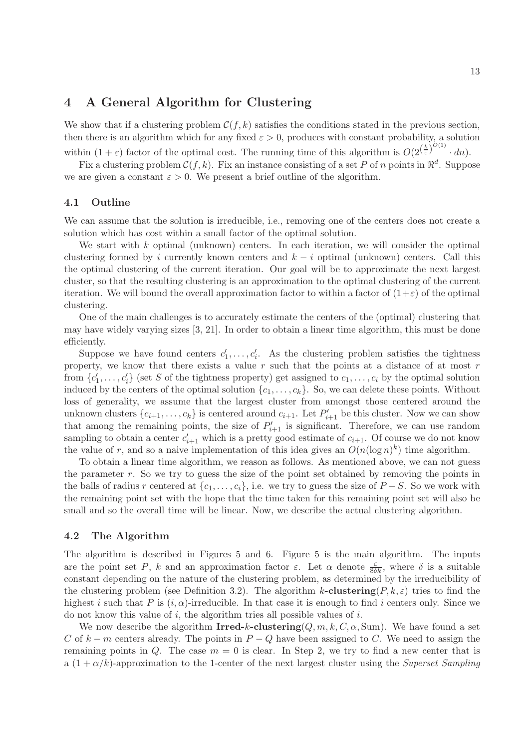## 4 A General Algorithm for Clustering

We show that if a clustering problem  $\mathcal{C}(f, k)$  satisfies the conditions stated in the previous section, then there is an algorithm which for any fixed  $\varepsilon > 0$ , produces with constant probability, a solution within  $(1+\varepsilon)$  factor of the optimal cost. The running time of this algorithm is  $O(2^{\left(\frac{k}{\varepsilon}\right)^{O(1)}} \cdot dn)$ .

Fix a clustering problem  $C(f, k)$ . Fix an instance consisting of a set P of n points in  $\mathbb{R}^d$ . Suppose we are given a constant  $\varepsilon > 0$ . We present a brief outline of the algorithm.

#### 4.1 Outline

We can assume that the solution is irreducible, i.e., removing one of the centers does not create a solution which has cost within a small factor of the optimal solution.

We start with  $k$  optimal (unknown) centers. In each iteration, we will consider the optimal clustering formed by i currently known centers and  $k - i$  optimal (unknown) centers. Call this the optimal clustering of the current iteration. Our goal will be to approximate the next largest cluster, so that the resulting clustering is an approximation to the optimal clustering of the current iteration. We will bound the overall approximation factor to within a factor of  $(1+\varepsilon)$  of the optimal clustering.

One of the main challenges is to accurately estimate the centers of the (optimal) clustering that may have widely varying sizes [3, 21]. In order to obtain a linear time algorithm, this must be done efficiently.

Suppose we have found centers  $c'_1, \ldots, c'_i$ . As the clustering problem satisfies the tightness property, we know that there exists a value  $r$  such that the points at a distance of at most  $r$ from  $\{c'_1, \ldots, c'_i\}$  (set S of the tightness property) get assigned to  $c_1, \ldots, c_i$  by the optimal solution induced by the centers of the optimal solution  $\{c_1, \ldots, c_k\}$ . So, we can delete these points. Without loss of generality, we assume that the largest cluster from amongst those centered around the unknown clusters  $\{c_{i+1}, \ldots, c_k\}$  is centered around  $c_{i+1}$ . Let  $P'_{i+1}$  be this cluster. Now we can show that among the remaining points, the size of  $P'_{i+1}$  is significant. Therefore, we can use random sampling to obtain a center  $c'_{i+1}$  which is a pretty good estimate of  $c_{i+1}$ . Of course we do not know the value of r, and so a naive implementation of this idea gives an  $O(n(\log n)^k)$  time algorithm.

To obtain a linear time algorithm, we reason as follows. As mentioned above, we can not guess the parameter  $r$ . So we try to guess the size of the point set obtained by removing the points in the balls of radius r centered at  $\{c_1, \ldots, c_i\}$ , i.e. we try to guess the size of  $P-S$ . So we work with the remaining point set with the hope that the time taken for this remaining point set will also be small and so the overall time will be linear. Now, we describe the actual clustering algorithm.

#### 4.2 The Algorithm

The algorithm is described in Figures 5 and 6. Figure 5 is the main algorithm. The inputs are the point set P, k and an approximation factor  $\varepsilon$ . Let  $\alpha$  denote  $\frac{\varepsilon}{8\delta k}$ , where  $\delta$  is a suitable constant depending on the nature of the clustering problem, as determined by the irreducibility of the clustering problem (see Definition 3.2). The algorithm k-clustering( $P, k, \varepsilon$ ) tries to find the highest i such that P is  $(i, \alpha)$ -irreducible. In that case it is enough to find i centers only. Since we do not know this value of i, the algorithm tries all possible values of i.

We now describe the algorithm Irred-k-clustering( $Q, m, k, C, \alpha$ , Sum). We have found a set C of  $k - m$  centers already. The points in  $P - Q$  have been assigned to C. We need to assign the remaining points in Q. The case  $m = 0$  is clear. In Step 2, we try to find a new center that is a  $(1 + \alpha/k)$ -approximation to the 1-center of the next largest cluster using the Superset Sampling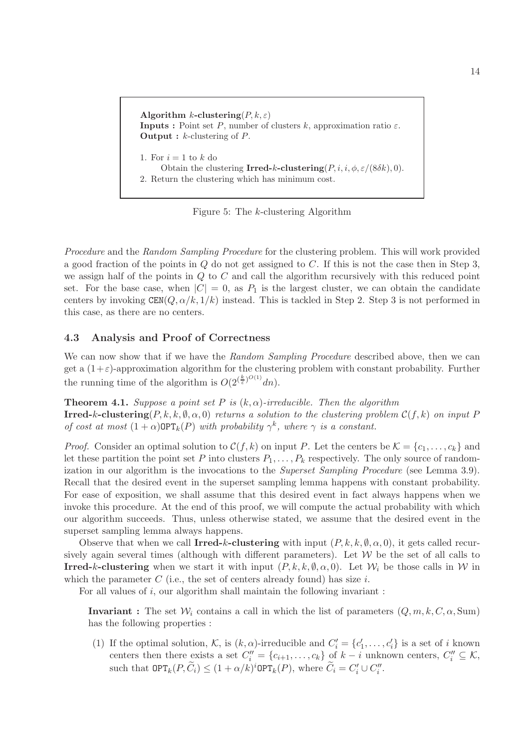Algorithm k-clustering $(P, k, \varepsilon)$ **Inputs :** Point set P, number of clusters k, approximation ratio  $\varepsilon$ . **Output :**  $k$ -clustering of  $P$ . 1. For  $i=1$  to  $k$  do Obtain the clustering Irred-k-clustering  $(P, i, i, \phi, \varepsilon/(8\delta k), 0)$ . 2. Return the clustering which has minimum cost.

Figure 5: The k-clustering Algorithm

Procedure and the Random Sampling Procedure for the clustering problem. This will work provided a good fraction of the points in  $Q$  do not get assigned to  $C$ . If this is not the case then in Step 3, we assign half of the points in  $Q$  to  $C$  and call the algorithm recursively with this reduced point set. For the base case, when  $|C| = 0$ , as  $P_1$  is the largest cluster, we can obtain the candidate centers by invoking  $\text{CEN}(Q, \alpha/k, 1/k)$  instead. This is tackled in Step 2. Step 3 is not performed in this case, as there are no centers.

### 4.3 Analysis and Proof of Correctness

We can now show that if we have the Random Sampling Procedure described above, then we can get a  $(1+\varepsilon)$ -approximation algorithm for the clustering problem with constant probability. Further the running time of the algorithm is  $O(2^{(\frac{k}{\varepsilon})^{O(1)}}dn)$ .

**Theorem 4.1.** Suppose a point set P is  $(k, \alpha)$ -irreducible. Then the algorithm **Irred-k-clustering** $(P, k, k, \emptyset, \alpha, 0)$  returns a solution to the clustering problem  $\mathcal{C}(f, k)$  on input P of cost at most  $(1+\alpha)$ OPT<sub>k</sub> $(P)$  with probability  $\gamma^k$ , where  $\gamma$  is a constant.

*Proof.* Consider an optimal solution to  $\mathcal{C}(f, k)$  on input P. Let the centers be  $\mathcal{K} = \{c_1, \ldots, c_k\}$  and let these partition the point set P into clusters  $P_1, \ldots, P_k$  respectively. The only source of randomization in our algorithm is the invocations to the *Superset Sampling Procedure* (see Lemma 3.9). Recall that the desired event in the superset sampling lemma happens with constant probability. For ease of exposition, we shall assume that this desired event in fact always happens when we invoke this procedure. At the end of this proof, we will compute the actual probability with which our algorithm succeeds. Thus, unless otherwise stated, we assume that the desired event in the superset sampling lemma always happens.

Observe that when we call **Irred-k-clustering** with input  $(P, k, k, \emptyset, \alpha, 0)$ , it gets called recursively again several times (although with different parameters). Let  $W$  be the set of all calls to **Irred-k-clustering** when we start it with input  $(P, k, k, \emptyset, \alpha, 0)$ . Let  $\mathcal{W}_i$  be those calls in  $\mathcal{W}$  in which the parameter  $C$  (i.e., the set of centers already found) has size  $i$ .

For all values of i, our algorithm shall maintain the following invariant :

**Invariant**: The set  $W_i$  contains a call in which the list of parameters  $(Q, m, k, C, \alpha, Sum)$ has the following properties :

(1) If the optimal solution, K, is  $(k, \alpha)$ -irreducible and  $C'_i = \{c'_1, \ldots, c'_i\}$  is a set of i known centers then there exists a set  $C_i'' = \{c_{i+1}, \ldots, c_k\}$  of  $k - i$  unknown centers,  $C_i'' \subseteq \mathcal{K}$ , such that  $\text{OPT}_k(P, \tilde{C}_i) \leq (1 + \alpha/k)^i \text{OPT}_k(P)$ , where  $\tilde{C}_i = C'_i \cup C''_i$ .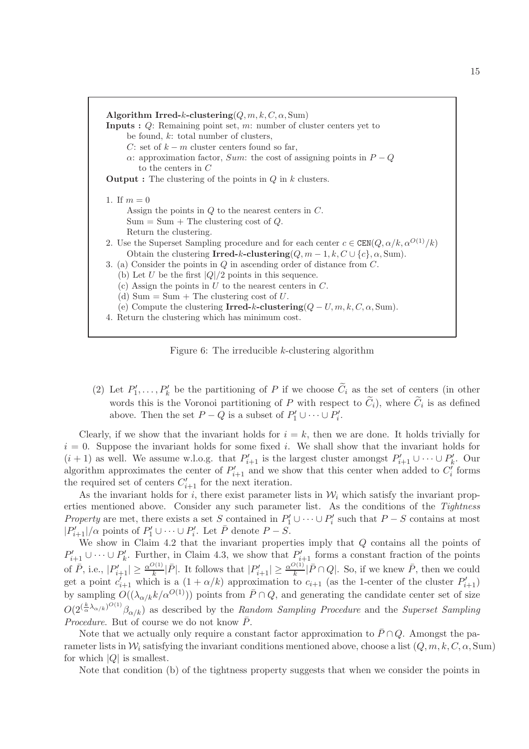

Figure 6: The irreducible  $k$ -clustering algorithm

(2) Let  $P'_1, \ldots, P'_k$  be the partitioning of P if we choose  $C_i$  as the set of centers (in other words this is the Voronoi partitioning of  $P$  with respect to  $C_i$ ), where  $C_i$  is as defined above. Then the set  $P - Q$  is a subset of  $P'_1 \cup \cdots \cup P'_i$ .

Clearly, if we show that the invariant holds for  $i = k$ , then we are done. It holds trivially for  $i = 0$ . Suppose the invariant holds for some fixed i. We shall show that the invariant holds for  $(i + 1)$  as well. We assume w.l.o.g. that  $P'_{i+1}$  is the largest cluster amongst  $P'_{i+1} \cup \cdots \cup P'_{k}$ . Our algorithm approximates the center of  $P'_{i+1}$  and we show that this center when added to  $C'_{i}$  forms the required set of centers  $C'_{i+1}$  for the next iteration.

As the invariant holds for i, there exist parameter lists in  $\mathcal{W}_i$  which satisfy the invariant properties mentioned above. Consider any such parameter list. As the conditions of the Tightness Property are met, there exists a set S contained in  $P'_1 \cup \cdots \cup P'_i$  such that  $P-S$  contains at most  $|P'_{i+1}|/\alpha$  points of  $P'_1 \cup \cdots \cup P'_i$ . Let  $\overline{P}$  denote  $P-S$ .

We show in Claim 4.2 that the invariant properties imply that Q contains all the points of  $P'_{i+1} \cup \cdots \cup P'_{k}$ . Further, in Claim 4.3, we show that  $P'_{i+1}$  forms a constant fraction of the points of  $\bar{P}$ , i.e.,  $|P'_{i+1}| \geq \frac{\alpha^{O(1)}}{k}$  $\frac{P(1)}{k}|\bar{P}|$ . It follows that  $|P'_{i+1}| \geq \frac{\alpha^{O(1)}}{k}$  $\frac{\overline{P(1)}}{k}$  |  $\overline{P} \cap Q$ |. So, if we knew  $\overline{P}$ , then we could get a point  $c'_{i+1}$  which is a  $(1 + \alpha/k)$  approximation to  $c_{i+1}$  (as the 1-center of the cluster  $P'_{i+1}$ ) by sampling  $O((\lambda_{\alpha/k}k/\alpha^{O(1)}))$  points from  $\overline{P} \cap Q$ , and generating the candidate center set of size  $O(2^{(\frac{k}{\alpha}\lambda_{\alpha/k})^{O(1)}}\beta_{\alpha/k})$  as described by the Random Sampling Procedure and the Superset Sampling *Procedure.* But of course we do not know  $\overline{P}$ .

Note that we actually only require a constant factor approximation to  $\bar{P} \cap Q$ . Amongst the parameter lists in  $\mathcal{W}_i$  satisfying the invariant conditions mentioned above, choose a list  $(Q, m, k, C, \alpha, Sum)$ for which  $|Q|$  is smallest.

Note that condition (b) of the tightness property suggests that when we consider the points in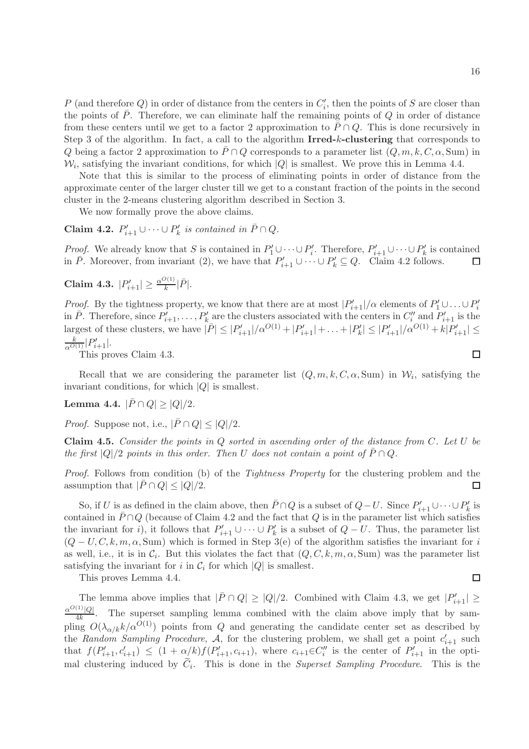P (and therefore Q) in order of distance from the centers in  $C_i'$ , then the points of S are closer than the points of  $\bar{P}$ . Therefore, we can eliminate half the remaining points of  $Q$  in order of distance from these centers until we get to a factor 2 approximation to  $\bar{P} \cap Q$ . This is done recursively in Step 3 of the algorithm. In fact, a call to the algorithm Irred-k-clustering that corresponds to Q being a factor 2 approximation to  $\bar{P} \cap Q$  corresponds to a parameter list  $(Q, m, k, C, \alpha, Sum)$  in  $\mathcal{W}_i$ , satisfying the invariant conditions, for which |Q| is smallest. We prove this in Lemma 4.4.

Note that this is similar to the process of eliminating points in order of distance from the approximate center of the larger cluster till we get to a constant fraction of the points in the second cluster in the 2-means clustering algorithm described in Section 3.

We now formally prove the above claims.

Claim 4.2.  $P'_{i+1} \cup \cdots \cup P'_k$  is contained in  $\bar{P} \cap Q$ .

*Proof.* We already know that S is contained in  $P'_1 \cup \cdots \cup P'_i$ . Therefore,  $P'_{i+1} \cup \cdots \cup P'_k$  is contained in  $\overline{P}$ . Moreover, from invariant (2), we have that  $P'_{i+1} \cup \cdots \cup P'_{k} \subseteq Q$ . Claim 4.2 follows.  $\Box$ 

**Claim 4.3.** 
$$
|P'_{i+1}| \geq \frac{\alpha^{O(1)}}{k} |\bar{P}|.
$$

*Proof.* By the tightness property, we know that there are at most  $|P'_{i+1}|/\alpha$  elements of  $P'_1 \cup ... \cup P'_i$ in  $\bar{P}$ . Therefore, since  $P'_{i+1}, \ldots, P'_{k}$  are the clusters associated with the centers in  $C''_{i}$  and  $P'_{i+1}$  is the largest of these clusters, we have  $|\bar{P}| \leq |P'_{i+1}|/\alpha^{O(1)} + |P'_{i+1}| + \ldots + |P'_{k}| \leq |P'_{i+1}|/\alpha^{O(1)} + k|P'_{i+1}| \leq$  $\frac{k}{\alpha^{O(1)}}|P'_{i+1}|.$ 

This proves Claim 4.3.

Recall that we are considering the parameter list  $(Q, m, k, C, \alpha, Sum)$  in  $W_i$ , satisfying the invariant conditions, for which  $|Q|$  is smallest.

Lemma 4.4.  $|\bar{P} \cap Q| > |Q|/2$ .

*Proof.* Suppose not, i.e.,  $|\bar{P} \cap Q| < |Q|/2$ .

**Claim 4.5.** Consider the points in  $Q$  sorted in ascending order of the distance from  $C$ . Let  $U$  be the first  $|Q|/2$  points in this order. Then U does not contain a point of  $\bar{P} \cap Q$ .

Proof. Follows from condition (b) of the Tightness Property for the clustering problem and the assumption that  $|\bar{P} \cap Q| \leq |Q|/2$ .  $\Box$ 

So, if U is as defined in the claim above, then  $\bar{P} \cap Q$  is a subset of  $Q-U$ . Since  $P'_{i+1} \cup \cdots \cup P'_{k}$  is contained in  $\bar{P} \cap Q$  (because of Claim 4.2 and the fact that Q is in the parameter list which satisfies the invariant for i), it follows that  $P'_{i+1} \cup \cdots \cup P'_{k}$  is a subset of  $Q - U$ . Thus, the parameter list  $(Q-U, C, k, m, \alpha, Sum)$  which is formed in Step 3(e) of the algorithm satisfies the invariant for i as well, i.e., it is in  $C_i$ . But this violates the fact that  $(Q, C, k, m, \alpha, Sum)$  was the parameter list satisfying the invariant for i in  $C_i$  for which  $|Q|$  is smallest.

This proves Lemma 4.4.

The lemma above implies that  $|\bar{P} \cap Q| \ge |Q|/2$ . Combined with Claim 4.3, we get  $|P'_{i+1}| \ge$  $\alpha^{O(1)}|Q|$  $\frac{C|Q|}{4k}$ . The superset sampling lemma combined with the claim above imply that by sampling  $O(\lambda_{\alpha/k}k/\alpha^{O(1)})$  points from Q and generating the candidate center set as described by the Random Sampling Procedure, A, for the clustering problem, we shall get a point  $c'_{i+1}$  such that  $f(P'_{i+1}, c'_{i+1}) \leq (1 + \alpha/k)f(P'_{i+1}, c_{i+1}),$  where  $c_{i+1} \in C''_i$  is the center of  $P'_{i+1}$  in the optimal clustering induced by  $C_i$ . This is done in the *Superset Sampling Procedure*. This is the

$$
\Box
$$

 $\Box$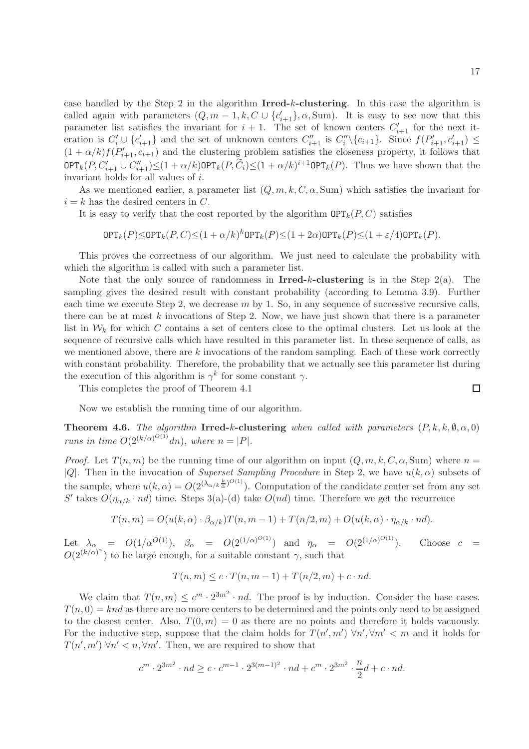case handled by the Step 2 in the algorithm Irred-k-clustering. In this case the algorithm is called again with parameters  $(Q, m-1, k, C \cup \{c'_{i+1}\}, \alpha, \text{Sum})$ . It is easy to see now that this parameter list satisfies the invariant for  $i + 1$ . The set of known centers  $C'_{i+1}$  for the next iteration is  $C_i' \cup \{c_{i+1}'\}$  and the set of unknown centers  $C_{i+1}''$  is  $C_i'' \setminus \{c_{i+1}\}\$ . Since  $f(P'_{i+1}, c'_{i+1}) \leq$  $(1 + \alpha/k) f(P'_{i+1}, c_{i+1})$  and the clustering problem satisfies the closeness property, it follows that  $\text{OPT}_k(P, C'_{i+1} \cup C''_{i+1}) \leq (1+\alpha/k) \text{OPT}_k(P, C_i) \leq (1+\alpha/k)^{i+1} \text{OPT}_k(P)$ . Thus we have shown that the invariant holds for all values of i.

As we mentioned earlier, a parameter list  $(Q, m, k, C, \alpha, Sum)$  which satisfies the invariant for  $i = k$  has the desired centers in C.

It is easy to verify that the cost reported by the algorithm  $\text{OPT}_k(P, C)$  satisfies

$$
\text{OPT}_k(P) \le \text{OPT}_k(P,C) \le (1+\alpha/k)^k \text{OPT}_k(P) \le (1+2\alpha) \text{OPT}_k(P) \le (1+\varepsilon/4) \text{OPT}_k(P).
$$

This proves the correctness of our algorithm. We just need to calculate the probability with which the algorithm is called with such a parameter list.

Note that the only source of randomness in **Irred-k-clustering** is in the Step  $2(a)$ . The sampling gives the desired result with constant probability (according to Lemma 3.9). Further each time we execute Step 2, we decrease  $m$  by 1. So, in any sequence of successive recursive calls, there can be at most  $k$  invocations of Step 2. Now, we have just shown that there is a parameter list in  $\mathcal{W}_k$  for which C contains a set of centers close to the optimal clusters. Let us look at the sequence of recursive calls which have resulted in this parameter list. In these sequence of calls, as we mentioned above, there are  $k$  invocations of the random sampling. Each of these work correctly with constant probability. Therefore, the probability that we actually see this parameter list during the execution of this algorithm is  $\gamma^k$  for some constant  $\gamma$ .

This completes the proof of Theorem 4.1

Now we establish the running time of our algorithm.

**Theorem 4.6.** The algorithm Irred-k-clustering when called with parameters  $(P, k, k, \emptyset, \alpha, 0)$ runs in time  $O(2^{(k/\alpha)^{O(1)}}dn)$ , where  $n = |P|$ .

*Proof.* Let  $T(n,m)$  be the running time of our algorithm on input  $(Q, m, k, C, \alpha, Sum)$  where  $n =$ |Q|. Then in the invocation of Superset Sampling Procedure in Step 2, we have  $u(k, \alpha)$  subsets of the sample, where  $u(k,\alpha) = O(2^{(\lambda_{\alpha/k}\frac{k}{\alpha})^{O(1)}})$ . Computation of the candidate center set from any set S' takes  $O(\eta_{\alpha/k} \cdot nd)$  time. Steps 3(a)-(d) take  $O(nd)$  time. Therefore we get the recurrence

$$
T(n,m) = O(u(k,\alpha) \cdot \beta_{\alpha/k}) T(n,m-1) + T(n/2,m) + O(u(k,\alpha) \cdot \eta_{\alpha/k} \cdot nd).
$$

Let  $\lambda_{\alpha}$  =  $O(1/\alpha^{O(1)}), \ \beta_{\alpha}$  =  $O(2^{(1/\alpha)^{O(1)}})$  and  $\eta_{\alpha}$  =  $O(2^{(1/\alpha)})$ Choose  $c =$  $O(2^{(k/\alpha)^{\gamma}})$  to be large enough, for a suitable constant  $\gamma$ , such that

$$
T(n,m) \le c \cdot T(n,m-1) + T(n/2,m) + c \cdot nd.
$$

We claim that  $T(n,m) \leq c^m \cdot 2^{3m^2} \cdot nd$ . The proof is by induction. Consider the base cases.  $T(n, 0) = knd$  as there are no more centers to be determined and the points only need to be assigned to the closest center. Also,  $T(0, m) = 0$  as there are no points and therefore it holds vacuously. For the inductive step, suppose that the claim holds for  $T(n', m') \forall n', \forall m' < m$  and it holds for  $T(n', m') \forall n' < n, \forall m'.$  Then, we are required to show that

$$
c^{m} \cdot 2^{3m^2} \cdot nd \ge c \cdot c^{m-1} \cdot 2^{3(m-1)^2} \cdot nd + c^m \cdot 2^{3m^2} \cdot \frac{n}{2}d + c \cdot nd.
$$

$$
\Box
$$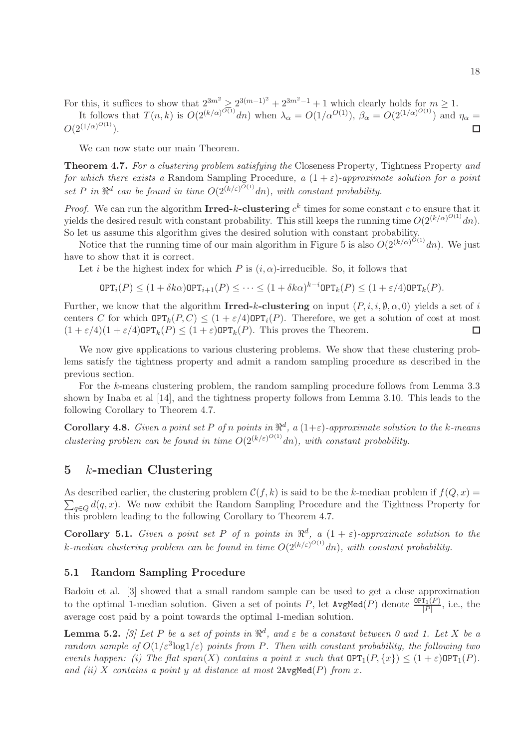For this, it suffices to show that  $2^{3m^2} \ge 2^{3(m-1)^2} + 2^{3m^2-1} + 1$  which clearly holds for  $m \ge 1$ .

It follows that 
$$
T(n,k)
$$
 is  $O(2^{(k/\alpha)^{O(1)}}dn)$  when  $\lambda_{\alpha} = O(1/\alpha^{O(1)})$ ,  $\beta_{\alpha} = O(2^{(1/\alpha)^{O(1)}})$  and  $\eta_{\alpha} = O(2^{(1/\alpha)^{O(1)}})$ .

We can now state our main Theorem.

Theorem 4.7. For a clustering problem satisfying the Closeness Property, Tightness Property and for which there exists a Random Sampling Procedure, a  $(1 + \varepsilon)$ -approximate solution for a point set P in  $\mathbb{R}^d$  can be found in time  $O(2^{(k/\varepsilon)^{O(1)}}dn)$ , with constant probability.

*Proof.* We can run the algorithm Irred-k-clustering  $c^k$  times for some constant c to ensure that it yields the desired result with constant probability. This still keeps the running time  $O(2^{(k/\alpha)^{O(1)}}dn)$ . So let us assume this algorithm gives the desired solution with constant probability.

Notice that the running time of our main algorithm in Figure 5 is also  $O(2^{(k/\alpha)^{O(1)}}dn)$ . We just have to show that it is correct.

Let i be the highest index for which P is  $(i, \alpha)$ -irreducible. So, it follows that

$$
\text{OPT}_i(P) \le (1 + \delta k \alpha) \text{OPT}_{i+1}(P) \le \cdots \le (1 + \delta k \alpha)^{k-i} \text{OPT}_k(P) \le (1 + \varepsilon/4) \text{OPT}_k(P).
$$

Further, we know that the algorithm Irred-k-clustering on input  $(P, i, i, \emptyset, \alpha, 0)$  yields a set of i centers C for which  $\text{OPT}_k(P, C) \leq (1 + \varepsilon/4) \text{OPT}_i(P)$ . Therefore, we get a solution of cost at most  $(1 + \varepsilon/4)(1 + \varepsilon/4) \text{OPT}_i(P) \leq (1 + \varepsilon) \text{OPT}_i(P)$ . This proves the Theorem  $(1 + \varepsilon/4)(1 + \varepsilon/4)$ OPT<sub>k</sub> $(P) \le (1 + \varepsilon)$ OPT<sub>k</sub> $(P)$ . This proves the Theorem.

We now give applications to various clustering problems. We show that these clustering problems satisfy the tightness property and admit a random sampling procedure as described in the previous section.

For the k-means clustering problem, the random sampling procedure follows from Lemma 3.3 shown by Inaba et al [14], and the tightness property follows from Lemma 3.10. This leads to the following Corollary to Theorem 4.7.

**Corollary 4.8.** Given a point set P of n points in  $\mathbb{R}^d$ , a  $(1+\varepsilon)$ -approximate solution to the k-means clustering problem can be found in time  $O(2^{(k/\varepsilon)^{O(1)}}dn)$ , with constant probability.

## 5 k-median Clustering

As described earlier, the clustering problem  $C(f, k)$  is said to be the k-median problem if  $f(Q, x) =$  $\sum_{q\in Q} d(q, x)$ . We now exhibit the Random Sampling Procedure and the Tightness Property for this problem leading to the following Corollary to Theorem 4.7.

**Corollary 5.1.** Given a point set P of n points in  $\mathbb{R}^d$ ,  $a(1+\varepsilon)$ -approximate solution to the k-median clustering problem can be found in time  $O(2^{(k/\varepsilon)^{O(1)}}dn)$ , with constant probability.

### 5.1 Random Sampling Procedure

Badoiu et al. [3] showed that a small random sample can be used to get a close approximation to the optimal 1-median solution. Given a set of points P, let  $AvgMed(P)$  denote  $\frac{\text{OPT}_1(P)}{|P|}$ , i.e., the average cost paid by a point towards the optimal 1-median solution.

**Lemma 5.2.** [3] Let P be a set of points in  $\mathbb{R}^d$ , and  $\varepsilon$  be a constant between 0 and 1. Let X be a random sample of  $O(1/\varepsilon^3 \log 1/\varepsilon)$  points from P. Then with constant probability, the following two events happen: (i) The flat  $span(X)$  contains a point x such that  $\text{OPT}_1(P, \{x\}) \leq (1+\varepsilon)\text{OPT}_1(P)$ . and (ii) X contains a point y at distance at most  $2$ AvgMed(P) from x.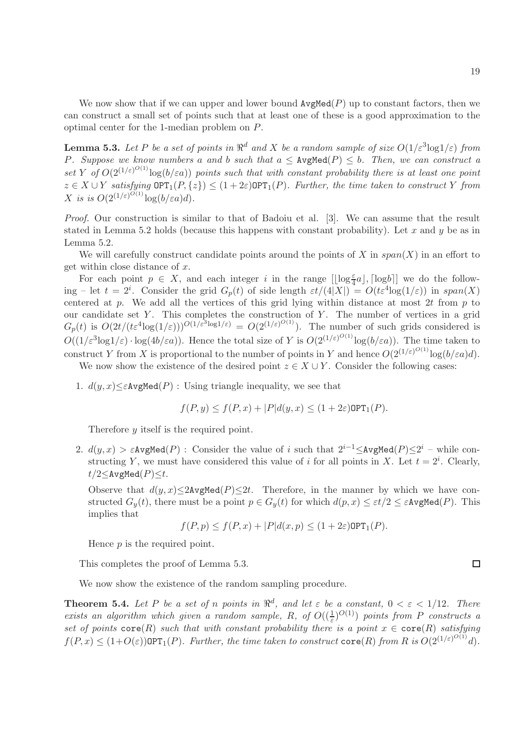We now show that if we can upper and lower bound  $ArgMed(P)$  up to constant factors, then we can construct a small set of points such that at least one of these is a good approximation to the optimal center for the 1-median problem on P.

**Lemma 5.3.** Let P be a set of points in  $\mathbb{R}^d$  and X be a random sample of size  $O(1/\varepsilon^3 \log 1/\varepsilon)$  from P. Suppose we know numbers a and b such that  $a \leq \text{AvgMed}(P) \leq b$ . Then, we can construct a set Y of  $O(2^{(1/\varepsilon)^{O(1)}}\log(b/\varepsilon a))$  points such that with constant probability there is at least one point  $z \in X \cup Y$  satisfying  $\mathsf{OPT}_1(P,\{z\}) \leq (1+2\varepsilon)\mathsf{OPT}_1(P)$ . Further, the time taken to construct Y from X is is  $O(2^{(1/\varepsilon)^{O(1)}}\log(b/\varepsilon a)d)$ .

Proof. Our construction is similar to that of Badoiu et al. [3]. We can assume that the result stated in Lemma 5.2 holds (because this happens with constant probability). Let x and y be as in Lemma 5.2.

We will carefully construct candidate points around the points of X in  $span(X)$  in an effort to get within close distance of  $x$ .

For each point  $p \in X$ , and each integer i in the range  $[\lfloor \log_{4}^{\epsilon} a \rfloor, \lceil \log b \rceil]$  we do the following – let  $t = 2^i$ . Consider the grid  $G_p(t)$  of side length  $\epsilon t/(4|X|) = O(t\epsilon^4 \log(1/\epsilon))$  in  $span(X)$ centered at  $p$ . We add all the vertices of this grid lying within distance at most 2t from  $p$  to our candidate set  $Y$ . This completes the construction of  $Y$ . The number of vertices in a grid  $G_p(t)$  is  $O(2t/ (t \epsilon^4 \log(1/\varepsilon)))^{O(1/\varepsilon^3 \log 1/\varepsilon)} = O(2^{(1/\varepsilon)^{O(1)}})$ . The number of such grids considered is  $O((1/\varepsilon^3 \log 1/\varepsilon) \cdot \log(4b/\varepsilon a))$ . Hence the total size of Y is  $O(2^{(1/\varepsilon)^{O(1)}} \log (b/\varepsilon a))$ . The time taken to construct Y from X is proportional to the number of points in Y and hence  $O(2^{(1/\varepsilon)^{O(1)}}\log(b/\varepsilon a)d)$ .

We now show the existence of the desired point  $z \in X \cup Y$ . Consider the following cases:

1.  $d(y, x) \leq \epsilon A \mathsf{vgMed}(P)$ : Using triangle inequality, we see that

$$
f(P, y) \le f(P, x) + |P|d(y, x) \le (1 + 2\varepsilon) \text{OPT}_1(P).
$$

Therefore y itself is the required point.

2.  $d(y,x) > \varepsilon$ AvgMed $(P)$ : Consider the value of i such that  $2^{i-1} \leq$ AvgMed $(P) \leq 2^i$  – while constructing Y, we must have considered this value of i for all points in X. Let  $t = 2^i$ . Clearly,  $t/2 \leq$ AvgMed $(P) \leq t$ .

Observe that  $d(y, x) \leq 2$ AvgMed $(P) \leq 2t$ . Therefore, in the manner by which we have constructed  $G_y(t)$ , there must be a point  $p \in G_y(t)$  for which  $d(p, x) \leq \varepsilon t/2 \leq \varepsilon$ AvgMed $(P)$ . This implies that

$$
f(P, p) \le f(P, x) + |P|d(x, p) \le (1 + 2\varepsilon) \text{OPT}_1(P).
$$

Hence p is the required point.

This completes the proof of Lemma 5.3.

We now show the existence of the random sampling procedure.

**Theorem 5.4.** Let P be a set of n points in  $\mathbb{R}^d$ , and let  $\varepsilon$  be a constant,  $0 < \varepsilon < 1/12$ . There exists an algorithm which given a random sample, R, of  $O((\frac{1}{\varepsilon})^{O(1)})$  points from P constructs a set of points  $\text{core}(R)$  such that with constant probability there is a point  $x \in \text{core}(R)$  satisfying  $f(P, x) \leq (1+O(\varepsilon))$ OPT<sub>1</sub> $(P)$ . Further, the time taken to construct  $\text{core}(R)$  from R is  $O(2^{(1/\varepsilon)^{O(1)}}d)$ .

$$
\Box
$$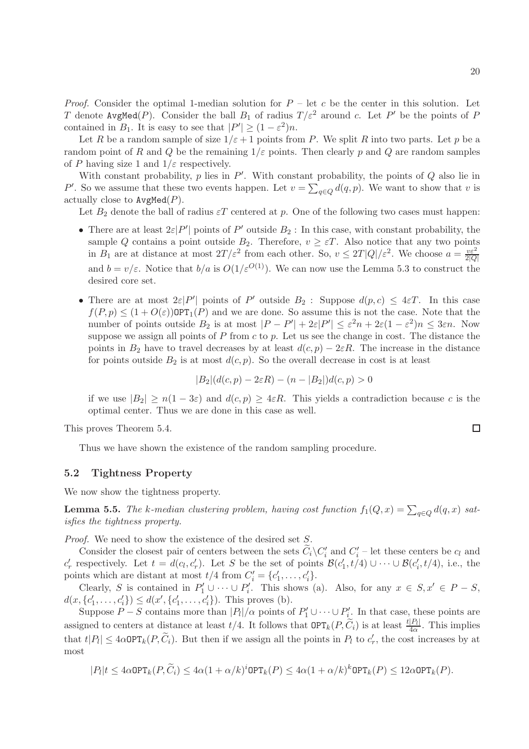*Proof.* Consider the optimal 1-median solution for  $P - \text{let } c$  be the center in this solution. Let T denote  $\texttt{AvgMed}(P)$ . Consider the ball  $B_1$  of radius  $T/\varepsilon^2$  around c. Let  $P'$  be the points of  $P$ contained in  $B_1$ . It is easy to see that  $|P'| \ge (1 - \varepsilon^2)n$ .

Let R be a random sample of size  $1/\varepsilon + 1$  points from P. We split R into two parts. Let p be a random point of R and Q be the remaining  $1/\varepsilon$  points. Then clearly p and Q are random samples of P having size 1 and  $1/\varepsilon$  respectively.

With constant probability,  $p$  lies in  $P'$ . With constant probability, the points of  $Q$  also lie in P'. So we assume that these two events happen. Let  $v = \sum_{q \in Q} d(q, p)$ . We want to show that v is actually close to  $AvgMed(P)$ .

Let  $B_2$  denote the ball of radius  $\varepsilon T$  centered at p. One of the following two cases must happen:

- There are at least  $2\varepsilon|P'|\text{ points of }P'\text{ outside }B_2:\text{ In this case, with constant probability, the }$ sample Q contains a point outside  $B_2$ . Therefore,  $v \geq \varepsilon T$ . Also notice that any two points in  $B_1$  are at distance at most  $2T/\varepsilon^2$  from each other. So,  $v \leq 2T|Q|/\varepsilon^2$ . We choose  $a = \frac{v\varepsilon^2}{2|Q|}$  $2|Q|$ and  $b = v/\varepsilon$ . Notice that  $b/a$  is  $O(1/\varepsilon^{O(1)})$ . We can now use the Lemma 5.3 to construct the desired core set.
- There are at most  $2\varepsilon|P'|$  points of P' outside  $B_2$ : Suppose  $d(p, c) \leq 4\varepsilon T$ . In this case  $f(P, p) \leq (1 + O(\varepsilon))$ OPT<sub>1</sub> $(P)$  and we are done. So assume this is not the case. Note that the number of points outside  $B_2$  is at most  $|P - P'| + 2\varepsilon|P'| \le \varepsilon^2 n + 2\varepsilon(1 - \varepsilon^2)n \le 3\varepsilon n$ . Now suppose we assign all points of  $P$  from  $c$  to  $p$ . Let us see the change in cost. The distance the points in  $B_2$  have to travel decreases by at least  $d(c, p) - 2\varepsilon R$ . The increase in the distance for points outside  $B_2$  is at most  $d(c, p)$ . So the overall decrease in cost is at least

$$
|B_2|(d(c, p) - 2\varepsilon R) - (n - |B_2|)d(c, p) > 0
$$

if we use  $|B_2| \ge n(1-3\varepsilon)$  and  $d(c, p) \ge 4\varepsilon R$ . This yields a contradiction because c is the optimal center. Thus we are done in this case as well.

This proves Theorem 5.4.

Thus we have shown the existence of the random sampling procedure.

#### 5.2 Tightness Property

We now show the tightness property.

**Lemma 5.5.** The k-median clustering problem, having cost function  $f_1(Q, x) = \sum_{q \in Q} d(q, x)$  satisfies the tightness property.

Proof. We need to show the existence of the desired set S.

Consider the closest pair of centers between the sets  $C_i\setminus C'_i$  and  $C'_i$  – let these centers be  $c_l$  and  $c'_r$  respectively. Let  $t = d(c_l, c'_r)$ . Let S be the set of points  $\mathcal{B}(c'_1, t/4) \cup \cdots \cup \mathcal{B}(c'_i, t/4)$ , i.e., the points which are distant at most  $t/4$  from  $C'_{i} = \{c'_{1}, \ldots, c'_{i}\}.$ 

Clearly, S is contained in  $P'_1 \cup \cdots \cup P'_i$ . This shows (a). Also, for any  $x \in S, x' \in P - S$ ,  $d(x, \{c'_1, \ldots, c'_i\}) \leq d(x', \{c'_1, \ldots, c'_i\})$ . This proves (b).

Suppose  $P-S$  contains more than  $|P_l|/\alpha$  points of  $P'_1 \cup \cdots \cup P'_{i}$ . In that case, these points are assigned to centers at distance at least  $t/4$ . It follows that  $\mathsf{OPT}_k(P, \widetilde{C}_i)$  is at least  $\frac{t|P_i|}{4\alpha}$  $rac{|P_l|}{4\alpha}$ . This implies that  $t|P_l| \leq 4\alpha \text{OPT}_k(P, \tilde{C}_i)$ . But then if we assign all the points in  $P_l$  to  $c'_r$ , the cost increases by at most

$$
|P_l|t \leq 4\alpha \text{OPT}_k(P, \widetilde{C}_i) \leq 4\alpha (1+\alpha/k)^i \text{OPT}_k(P) \leq 4\alpha (1+\alpha/k)^k \text{OPT}_k(P) \leq 12\alpha \text{OPT}_k(P).
$$

$$
\qquad \qquad \Box
$$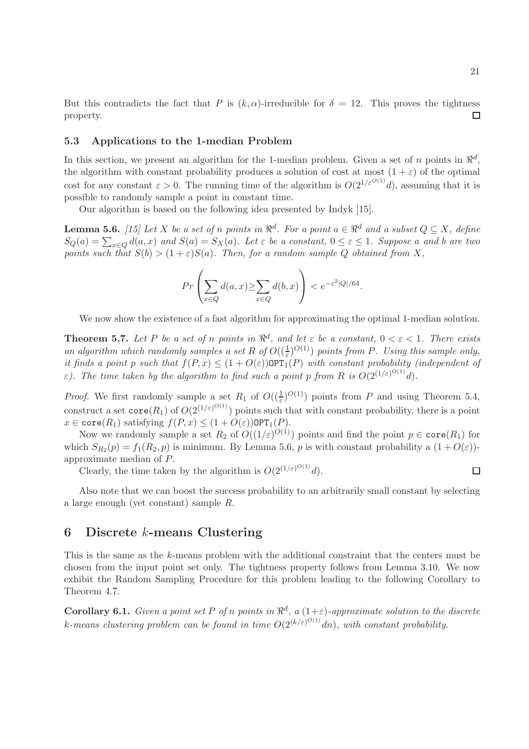But this contradicts the fact that P is  $(k, \alpha)$ -irreducible for  $\delta = 12$ . This proves the tightness property.  $\Box$ 

#### 5.3 Applications to the 1-median Problem

In this section, we present an algorithm for the 1-median problem. Given a set of n points in  $\mathbb{R}^d$ , the algorithm with constant probability produces a solution of cost at most  $(1 + \varepsilon)$  of the optimal cost for any constant  $\varepsilon > 0$ . The running time of the algorithm is  $O(2^{1/\varepsilon^{O(1)}}d)$ , assuming that it is possible to randomly sample a point in constant time.

Our algorithm is based on the following idea presented by Indyk [15].

**Lemma 5.6.** [15] Let X be a set of n points in  $\mathbb{R}^d$ . For a point  $a \in \mathbb{R}^d$  and a subset  $Q \subseteq X$ , define  $S_Q(a) = \sum_{x \in Q} d(a, x)$  and  $S(a) = S_X(a)$ . Let  $\varepsilon$  be a constant,  $0 \le \varepsilon \le 1$ . Suppose a and b are two points such that  $S(b) > (1+\varepsilon)S(a)$ . Then, for a random sample Q obtained from X,

$$
Pr\left(\sum_{x \in Q} d(a, x) \ge \sum_{x \in Q} d(b, x)\right) < e^{-\varepsilon^2 |Q|/64}.
$$

We now show the existence of a fast algorithm for approximating the optimal 1-median solution.

**Theorem 5.7.** Let P be a set of n points in  $\mathbb{R}^d$ , and let  $\varepsilon$  be a constant,  $0 < \varepsilon < 1$ . There exists an algorithm which randomly samples a set R of  $O((\frac{1}{\varepsilon})^{O(1)})$  points from P. Using this sample only, it finds a point p such that  $f(P, x) \leq (1 + O(\varepsilon))$  OPT<sub>1</sub>(P) with constant probability (independent of  $\varepsilon$ ). The time taken by the algorithm to find such a point p from R is  $O(2^{(1/\varepsilon)^{O(1)}}d)$ .

*Proof.* We first randomly sample a set  $R_1$  of  $O((\frac{1}{\varepsilon})^{O(1)})$  points from P and using Theorem 5.4, construct a set  $\text{core}(R_1)$  of  $O(2^{(1/\varepsilon)^{O(1)}})$  points such that with constant probability, there is a point  $x \in \text{core}(R_1)$  satisfying  $f(P, x) \leq (1 + O(\varepsilon)) \text{OPT}_1(P)$ .

Now we randomly sample a set  $R_2$  of  $O((1/\varepsilon)^{O(1)})$  points and find the point  $p \in \text{core}(R_1)$  for which  $S_{R_2}(p) = f_1(R_2, p)$  is minimum. By Lemma 5.6, p is with constant probability a  $(1 + O(\varepsilon))$ approximate median of P.

Clearly, the time taken by the algorithm is  $O(2^{(1/\varepsilon)^{O(1)}}d)$ .

Also note that we can boost the success probability to an arbitrarily small constant by selecting a large enough (yet constant) sample R.

### 6 Discrete k-means Clustering

This is the same as the k-means problem with the additional constraint that the centers must be chosen from the input point set only. The tightness property follows from Lemma 3.10. We now exhibit the Random Sampling Procedure for this problem leading to the following Corollary to Theorem 4.7.

**Corollary 6.1.** Given a point set P of n points in  $\mathbb{R}^d$ , a  $(1+\varepsilon)$ -approximate solution to the discrete k-means clustering problem can be found in time  $O(2^{(k/\varepsilon)^{O(1)}}dn)$ , with constant probability.

 $\Box$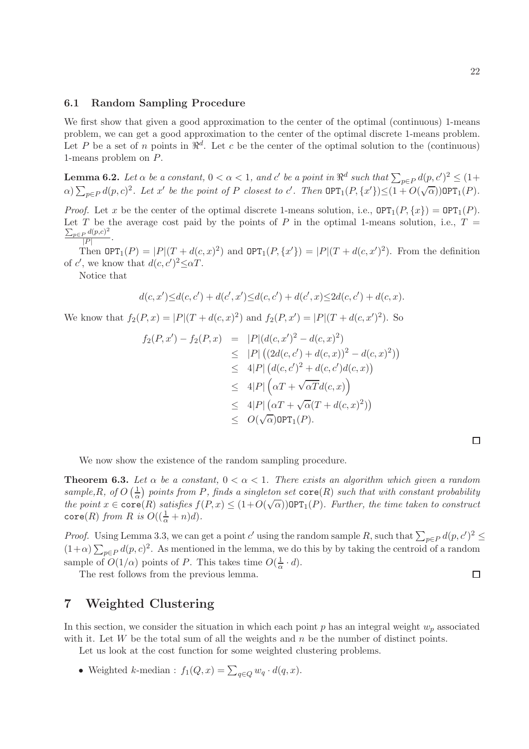### 6.1 Random Sampling Procedure

We first show that given a good approximation to the center of the optimal (continuous) 1-means problem, we can get a good approximation to the center of the optimal discrete 1-means problem. Let P be a set of n points in  $\mathbb{R}^d$ . Let c be the center of the optimal solution to the (continuous) 1-means problem on P.

**Lemma 6.2.** Let  $\alpha$  be a constant,  $0 < \alpha < 1$ , and  $c'$  be a point in  $\Re^d$  such that  $\sum_{p \in P} d(p, c')^2 \leq (1 +$  $\alpha$ )  $\sum_{p\in P} d(p, c)^2$ . Let x' be the point of P closest to c'. Then  $\mathsf{OPT}_1(P, \{x'\}) \leq (1 + O(\sqrt{\alpha})) \mathsf{OPT}_1(P)$ .

*Proof.* Let x be the center of the optimal discrete 1-means solution, i.e.,  $\text{OPT}_1(P, \{x\}) = \text{OPT}_1(P)$ . Let T be the average cost paid by the points of P in the optimal 1-means solution, i.e.,  $T =$  $\sum_{p\in P} d(p,c)^2$  $\frac{P^{\alpha(p,c)}}{|P|}$ .

Then  $\text{OPT}_1(P) = |P|(T + d(c, x)^2)$  and  $\text{OPT}_1(P, \{x'\}) = |P|(T + d(c, x')^2)$ . From the definition of c', we know that  $d(c, c')^2 \leq \alpha T$ . ′

Notice that

$$
d(c, x') \le d(c, c') + d(c', x') \le d(c, c') + d(c', x) \le 2d(c, c') + d(c, x).
$$

We know that  $f_2(P, x) = |P|(T + d(c, x)^2)$  and  $f_2(P, x') = |P|(T + d(c, x')^2)$ . So

$$
f_2(P, x') - f_2(P, x) = |P| (d(c, x')^2 - d(c, x)^2)
$$
  
\n
$$
\leq |P| ((2d(c, c') + d(c, x))^2 - d(c, x)^2))
$$
  
\n
$$
\leq 4|P| (d(c, c')^2 + d(c, c')d(c, x))
$$
  
\n
$$
\leq 4|P| (\alpha T + \sqrt{\alpha} T d(c, x))
$$
  
\n
$$
\leq 4|P| (\alpha T + \sqrt{\alpha} (T + d(c, x)^2))
$$
  
\n
$$
\leq O(\sqrt{\alpha}) \text{OPT}_1(P).
$$

 $\Box$ 

We now show the existence of the random sampling procedure.

**Theorem 6.3.** Let  $\alpha$  be a constant,  $0 < \alpha < 1$ . There exists an algorithm which given a random sample, R, of O  $\left(\frac{1}{\alpha}\right)$  $\frac{1}{\alpha}$ ) points from P, finds a singleton set  $\texttt{core}(R)$  such that with constant probability the point  $x \in \text{core}(R)$  satisfies  $f(P, x) \leq (1 + O(\sqrt{\alpha}))$  OPT<sub>1</sub> $(P)$ . Further, the time taken to construct core(R) from R is  $O((\frac{1}{\alpha}+n)d)$ .

*Proof.* Using Lemma 3.3, we can get a point c' using the random sample R, such that  $\sum_{p\in P} d(p, c')^2 \le$  $(1+\alpha)\sum_{p\in P}d(p,c)^2$ . As mentioned in the lemma, we do this by by taking the centroid of a random sample of  $O(1/\alpha)$  points of P. This takes time  $O(\frac{1}{\alpha})$  $\frac{1}{\alpha} \cdot d$ ).

The rest follows from the previous lemma.

# 7 Weighted Clustering

In this section, we consider the situation in which each point  $p$  has an integral weight  $w_p$  associated with it. Let W be the total sum of all the weights and  $n$  be the number of distinct points.

Let us look at the cost function for some weighted clustering problems.

• Weighted k-median :  $f_1(Q, x) = \sum_{q \in Q} w_q \cdot d(q, x)$ .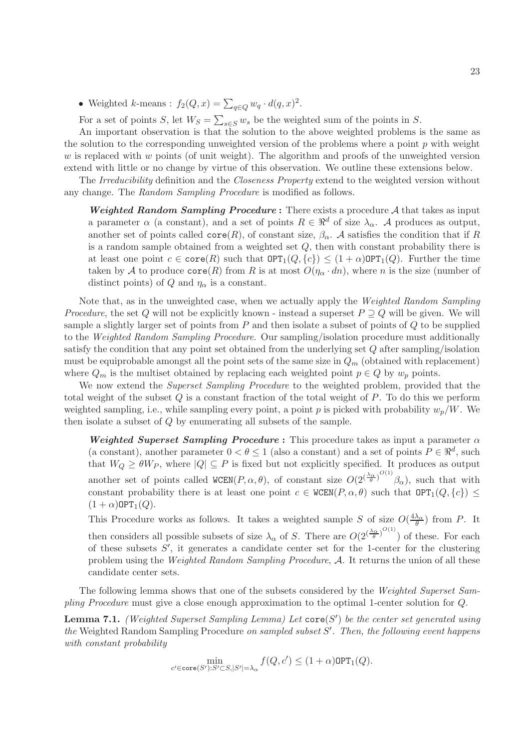• Weighted k-means :  $f_2(Q, x) = \sum_{q \in Q} w_q \cdot d(q, x)^2$ .

For a set of points S, let  $W_S = \sum_{s \in S} w_s$  be the weighted sum of the points in S.

An important observation is that the solution to the above weighted problems is the same as the solution to the corresponding unweighted version of the problems where a point  $p$  with weight w is replaced with w points (of unit weight). The algorithm and proofs of the unweighted version extend with little or no change by virtue of this observation. We outline these extensions below.

The Irreducibility definition and the Closeness Property extend to the weighted version without any change. The Random Sampling Procedure is modified as follows.

**Weighted Random Sampling Procedure :** There exists a procedure  $A$  that takes as input a parameter  $\alpha$  (a constant), and a set of points  $R \in \mathbb{R}^d$  of size  $\lambda_{\alpha}$ . A produces as output, another set of points called  $\text{core}(R)$ , of constant size,  $\beta_{\alpha}$ . A satisfies the condition that if R is a random sample obtained from a weighted set  $Q$ , then with constant probability there is at least one point  $c \in \text{core}(R)$  such that  $\text{OPT}_1(Q, \{c\}) \leq (1+\alpha)\text{OPT}_1(Q)$ . Further the time taken by A to produce  $\text{core}(R)$  from R is at most  $O(\eta_\alpha \cdot dn)$ , where n is the size (number of distinct points) of Q and  $\eta_{\alpha}$  is a constant.

Note that, as in the unweighted case, when we actually apply the Weighted Random Sampling *Procedure*, the set Q will not be explicitly known - instead a superset  $P \supset Q$  will be given. We will sample a slightly larger set of points from  $P$  and then isolate a subset of points of  $Q$  to be supplied to the Weighted Random Sampling Procedure. Our sampling/isolation procedure must additionally satisfy the condition that any point set obtained from the underlying set Q after sampling/isolation must be equiprobable amongst all the point sets of the same size in  $Q_m$  (obtained with replacement) where  $Q_m$  is the multiset obtained by replacing each weighted point  $p \in Q$  by  $w_p$  points.

We now extend the *Superset Sampling Procedure* to the weighted problem, provided that the total weight of the subset  $Q$  is a constant fraction of the total weight of  $P$ . To do this we perform weighted sampling, i.e., while sampling every point, a point p is picked with probability  $w_p/W$ . We then isolate a subset of Q by enumerating all subsets of the sample.

Weighted Superset Sampling Procedure : This procedure takes as input a parameter  $\alpha$ (a constant), another parameter  $0 < \theta \le 1$  (also a constant) and a set of points  $P \in \mathbb{R}^d$ , such that  $W_Q \ge \theta W_P$ , where  $|Q| \subseteq P$  is fixed but not explicitly specified. It produces as output another set of points called WCEN $(P, \alpha, \theta)$ , of constant size  $O(2^{(\frac{\lambda_{\alpha}}{\theta})^{O(1)}}\beta_{\alpha})$ , such that with constant probability there is at least one point  $c \in WCEN(P, \alpha, \theta)$  such that  $OPT_1(Q, \{c\}) \leq$  $(1+\alpha)$ OPT<sub>1</sub> $(Q)$ .

This Procedure works as follows. It takes a weighted sample S of size  $O(\frac{4\lambda_{\alpha}}{\theta})$  from P. It

then considers all possible subsets of size  $\lambda_{\alpha}$  of S. There are  $O(2^{(\frac{\lambda_{\alpha}}{\theta})^{O(1)}})$  of these. For each of these subsets  $S'$ , it generates a candidate center set for the 1-center for the clustering problem using the Weighted Random Sampling Procedure, A. It returns the union of all these candidate center sets.

The following lemma shows that one of the subsets considered by the Weighted Superset Sampling Procedure must give a close enough approximation to the optimal 1-center solution for Q.

**Lemma 7.1.** (Weighted Superset Sampling Lemma) Let  $\mathsf{core}(S')$  be the center set generated using the Weighted Random Sampling Procedure on sampled subset  $S'$ . Then, the following event happens with constant probability

$$
\min_{c' \in \operatorname{core}(S'): S' \subset S, |S'| = \lambda_\alpha} f(Q, c') \leq (1+\alpha)\operatorname{OPT}_1(Q).
$$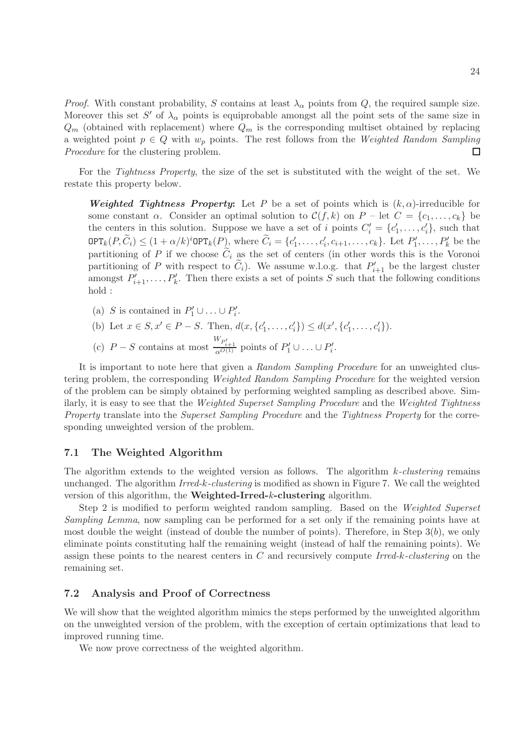*Proof.* With constant probability, S contains at least  $\lambda_{\alpha}$  points from Q, the required sample size. Moreover this set S' of  $\lambda_{\alpha}$  points is equiprobable amongst all the point sets of the same size in  $Q_m$  (obtained with replacement) where  $Q_m$  is the corresponding multiset obtained by replacing a weighted point  $p \in Q$  with  $w_p$  points. The rest follows from the Weighted Random Sampling Procedure for the clustering problem. Procedure for the clustering problem.

For the *Tightness Property*, the size of the set is substituted with the weight of the set. We restate this property below.

Weighted Tightness Property: Let P be a set of points which is  $(k, \alpha)$ -irreducible for some constant  $\alpha$ . Consider an optimal solution to  $\mathcal{C}(f, k)$  on  $P - \text{let } C = \{c_1, \ldots, c_k\}$  be the centers in this solution. Suppose we have a set of i points  $C'_{i} = \{c'_{1}, \ldots, c'_{i}\}\$ , such that  $\texttt{OPT}_k(P, \widetilde{C}_i) \leq (1+\alpha/k)^i \texttt{OPT}_k(P)$ , where  $\widetilde{C}_i = \{c'_1, \ldots, c'_i, c_{i+1}, \ldots, c_k\}$ . Let  $P'_1, \ldots, P'_k$  be the partitioning of P if we choose  $\tilde{C}_i$  as the set of centers (in other words this is the Voronoi partitioning of P with respect to  $\tilde{C}_i$ ). We assume w.l.o.g. that  $P'_{i+1}$  be the largest cluster amongst  $P'_{i+1}, \ldots, P'_{k}$ . Then there exists a set of points S such that the following conditions hold :

- (a) S is contained in  $P'_1 \cup ... \cup P'_i$ .
- (b) Let  $x \in S, x' \in P S$ . Then,  $d(x, \{c'_1, \ldots, c'_i\}) \leq d(x', \{c'_1, \ldots, c'_i\})$ .
- (c)  $P-S$  contains at most  $\frac{W_{P'_{i+1}}}{\alpha^{O(1)}}$  points of  $P'_1 \cup ... \cup P'_i$ .

It is important to note here that given a Random Sampling Procedure for an unweighted clustering problem, the corresponding Weighted Random Sampling Procedure for the weighted version of the problem can be simply obtained by performing weighted sampling as described above. Similarly, it is easy to see that the Weighted Superset Sampling Procedure and the Weighted Tightness Property translate into the Superset Sampling Procedure and the Tightness Property for the corresponding unweighted version of the problem.

### 7.1 The Weighted Algorithm

The algorithm extends to the weighted version as follows. The algorithm  $k$ -clustering remains unchanged. The algorithm  $Irred-k$ -clustering is modified as shown in Figure 7. We call the weighted version of this algorithm, the Weighted-Irred-k-clustering algorithm.

Step 2 is modified to perform weighted random sampling. Based on the Weighted Superset Sampling Lemma, now sampling can be performed for a set only if the remaining points have at most double the weight (instead of double the number of points). Therefore, in Step  $3(b)$ , we only eliminate points constituting half the remaining weight (instead of half the remaining points). We assign these points to the nearest centers in  $C$  and recursively compute Irred-k-clustering on the remaining set.

#### 7.2 Analysis and Proof of Correctness

We will show that the weighted algorithm mimics the steps performed by the unweighted algorithm on the unweighted version of the problem, with the exception of certain optimizations that lead to improved running time.

We now prove correctness of the weighted algorithm.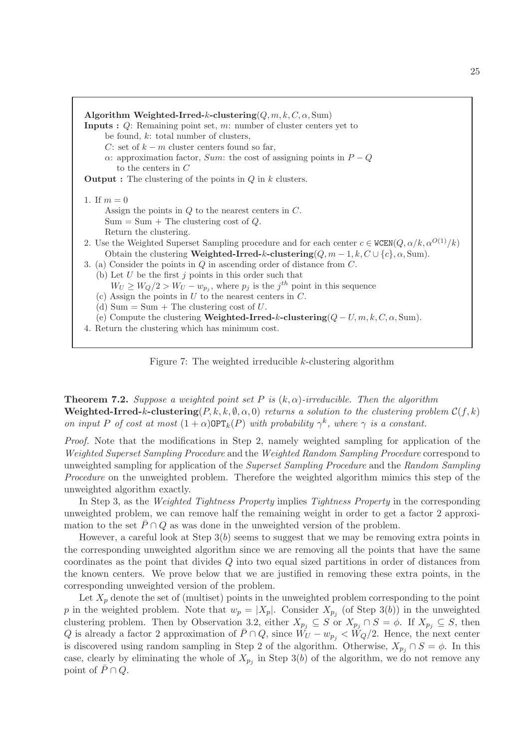| Algorithm Weighted-Irred-k-clustering $(Q, m, k, C, \alpha, Sum)$<br><b>Inputs :</b> $Q$ : Remaining point set, m: number of cluster centers yet to<br>be found, $k$ : total number of clusters,<br>C: set of $k - m$ cluster centers found so far,<br>$\alpha$ : approximation factor, <i>Sum</i> : the cost of assigning points in $P - Q$<br>to the centers in $C$<br><b>Output</b> : The clustering of the points in $Q$ in $k$ clusters. |  |  |  |
|-----------------------------------------------------------------------------------------------------------------------------------------------------------------------------------------------------------------------------------------------------------------------------------------------------------------------------------------------------------------------------------------------------------------------------------------------|--|--|--|
| 1. If $m = 0$                                                                                                                                                                                                                                                                                                                                                                                                                                 |  |  |  |
| Assign the points in $Q$ to the nearest centers in $C$ .                                                                                                                                                                                                                                                                                                                                                                                      |  |  |  |
| $Sum = Sum + The clustering cost of Q.$                                                                                                                                                                                                                                                                                                                                                                                                       |  |  |  |
| Return the clustering.                                                                                                                                                                                                                                                                                                                                                                                                                        |  |  |  |
| 2. Use the Weighted Superset Sampling procedure and for each center $c \in \text{WCEN}(Q, \alpha/k, \alpha^{O(1)}/k)$                                                                                                                                                                                                                                                                                                                         |  |  |  |
| Obtain the clustering Weighted-Irred-k-clustering $(Q, m-1, k, C \cup \{c\}, \alpha, \text{Sum}).$                                                                                                                                                                                                                                                                                                                                            |  |  |  |
| 3. (a) Consider the points in $Q$ in ascending order of distance from $C$ .                                                                                                                                                                                                                                                                                                                                                                   |  |  |  |
| (b) Let $U$ be the first $j$ points in this order such that                                                                                                                                                                                                                                                                                                                                                                                   |  |  |  |
| $W_U \geq W_Q/2 > W_U - w_{p_i}$ , where $p_i$ is the $j^{th}$ point in this sequence                                                                                                                                                                                                                                                                                                                                                         |  |  |  |
| (c) Assign the points in $U$ to the nearest centers in $C$ .                                                                                                                                                                                                                                                                                                                                                                                  |  |  |  |
| (d) Sum = Sum + The clustering cost of $U$ .                                                                                                                                                                                                                                                                                                                                                                                                  |  |  |  |
| (e) Compute the clustering <b>Weighted-Irred-k-clustering</b> $(Q-U, m, k, C, \alpha, Sum)$ .                                                                                                                                                                                                                                                                                                                                                 |  |  |  |
| 4. Return the clustering which has minimum cost.                                                                                                                                                                                                                                                                                                                                                                                              |  |  |  |
|                                                                                                                                                                                                                                                                                                                                                                                                                                               |  |  |  |



**Theorem 7.2.** Suppose a weighted point set P is  $(k, \alpha)$ -irreducible. Then the algorithm Weighted-Irred-k-clustering( $P, k, k, \emptyset, \alpha, 0$ ) returns a solution to the clustering problem  $C(f, k)$ on input P of cost at most  $(1+\alpha)\text{OPT}_k(P)$  with probability  $\gamma^k$ , where  $\gamma$  is a constant.

Proof. Note that the modifications in Step 2, namely weighted sampling for application of the Weighted Superset Sampling Procedure and the Weighted Random Sampling Procedure correspond to unweighted sampling for application of the Superset Sampling Procedure and the Random Sampling Procedure on the unweighted problem. Therefore the weighted algorithm mimics this step of the unweighted algorithm exactly.

In Step 3, as the Weighted Tightness Property implies Tightness Property in the corresponding unweighted problem, we can remove half the remaining weight in order to get a factor 2 approximation to the set  $\bar{P} \cap Q$  as was done in the unweighted version of the problem.

However, a careful look at Step  $3(b)$  seems to suggest that we may be removing extra points in the corresponding unweighted algorithm since we are removing all the points that have the same coordinates as the point that divides Q into two equal sized partitions in order of distances from the known centers. We prove below that we are justified in removing these extra points, in the corresponding unweighted version of the problem.

Let  $X_p$  denote the set of (multiset) points in the unweighted problem corresponding to the point p in the weighted problem. Note that  $w_p = |X_p|$ . Consider  $X_{p_j}$  (of Step 3(b)) in the unweighted clustering problem. Then by Observation 3.2, either  $X_{p_j} \subseteq S$  or  $X_{p_j} \cap S = \phi$ . If  $X_{p_j} \subseteq S$ , then Q is already a factor 2 approximation of  $\overline{P} \cap Q$ , since  $\overline{W}_U - w_{p_j} < \overline{W}_Q/2$ . Hence, the next center is discovered using random sampling in Step 2 of the algorithm. Otherwise,  $X_{p_i} \cap S = \phi$ . In this case, clearly by eliminating the whole of  $X_{p_j}$  in Step 3(b) of the algorithm, we do not remove any point of  $\bar{P} \cap Q$ .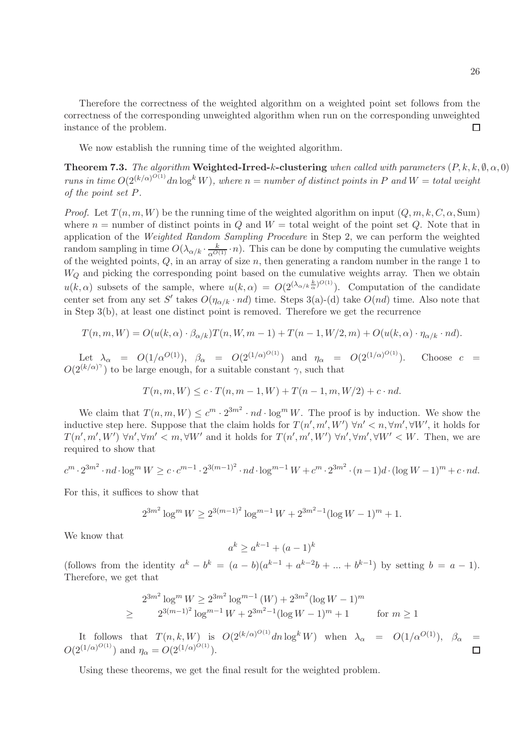Therefore the correctness of the weighted algorithm on a weighted point set follows from the correctness of the corresponding unweighted algorithm when run on the corresponding unweighted instance of the problem.  $\Box$ 

We now establish the running time of the weighted algorithm.

**Theorem 7.3.** The algorithm Weighted-Irred-k-clustering when called with parameters  $(P, k, k, \emptyset, \alpha, 0)$ runs in time  $O(2^{(k/\alpha)^{O(1)}}dn \log^k W)$ , where  $n = number$  of distinct points in P and  $W = total$  weight of the point set P.

*Proof.* Let  $T(n, m, W)$  be the running time of the weighted algorithm on input  $(Q, m, k, C, \alpha, Sum)$ where  $n =$  number of distinct points in  $Q$  and  $W =$  total weight of the point set  $Q$ . Note that in application of the Weighted Random Sampling Procedure in Step 2, we can perform the weighted random sampling in time  $O(\lambda_{\alpha/k} \cdot \frac{k}{\alpha^{O(1)}} \cdot n)$ . This can be done by computing the cumulative weights of the weighted points,  $Q$ , in an array of size  $n$ , then generating a random number in the range 1 to  $W_Q$  and picking the corresponding point based on the cumulative weights array. Then we obtain  $u(k, \alpha)$  subsets of the sample, where  $u(k, \alpha) = O(2^{(\lambda_{\alpha/k} \frac{k}{\alpha})^{O(1)}})$ . Computation of the candidate center set from any set S' takes  $O(\eta_{\alpha/k} \cdot nd)$  time. Steps 3(a)-(d) take  $O(nd)$  time. Also note that in Step 3(b), at least one distinct point is removed. Therefore we get the recurrence

$$
T(n,m,W) = O(u(k,\alpha) \cdot \beta_{\alpha/k})T(n,W,m-1) + T(n-1,W/2,m) + O(u(k,\alpha) \cdot \eta_{\alpha/k} \cdot nd).
$$

Let  $\lambda_{\alpha} = O(1/\alpha^{O(1)}), \ \beta_{\alpha} = O(2^{(1/\alpha)^{O(1)}})$  and  $\eta_{\alpha} = O(2^{(1/\alpha)^{O(1)}}).$  Choose  $c =$  $O(2^{(k/\alpha)^{\gamma}})$  to be large enough, for a suitable constant  $\gamma$ , such that

$$
T(n, m, W) \le c \cdot T(n, m - 1, W) + T(n - 1, m, W/2) + c \cdot nd.
$$

We claim that  $T(n, m, W) \leq c^m \cdot 2^{3m^2} \cdot nd \cdot \log^m W$ . The proof is by induction. We show the inductive step here. Suppose that the claim holds for  $T(n', m', W')$   $\forall n' < n, \forall m', \forall W'$ , it holds for  $T(n',m',W')$   $\forall n',\forall m' < m, \forall W'$  and it holds for  $T(n',m',W')$   $\forall n',\forall m',\forall W' < W$ . Then, we are required to show that

$$
c^{m} \cdot 2^{3m^2} \cdot nd \cdot \log^m W \ge c \cdot c^{m-1} \cdot 2^{3(m-1)^2} \cdot nd \cdot \log^{m-1} W + c^m \cdot 2^{3m^2} \cdot (n-1)d \cdot (\log W - 1)^m + c \cdot nd.
$$

For this, it suffices to show that

$$
2^{3m^2} \log^m W \ge 2^{3(m-1)^2} \log^{m-1} W + 2^{3m^2 - 1} (\log W - 1)^m + 1.
$$

We know that

$$
a^k \ge a^{k-1} + (a-1)^k
$$

(follows from the identity  $a^k - b^k = (a - b)(a^{k-1} + a^{k-2}b + ... + b^{k-1})$  by setting  $b = a - 1$ ). Therefore, we get that

$$
2^{3m^2} \log^m W \ge 2^{3m^2} \log^{m-1} (W) + 2^{3m^2} (\log W - 1)^m
$$
  
\n
$$
\ge 2^{3(m-1)^2} \log^{m-1} W + 2^{3m^2 - 1} (\log W - 1)^m + 1 \qquad \text{for } m \ge 1
$$

It follows that  $T(n, k, W)$  is  $O(2^{(k/\alpha)^{O(1)}}dn \log^k W)$  when  $\lambda_{\alpha} = O(1/\alpha^{O(1)})$ ,  $\beta_{\alpha} =$  $O(2^{(1/\alpha)^{O(1)}})$  and  $\eta_{\alpha} = O(2^{(1/\alpha)^{O(1)}})$ .  $\Box$ 

Using these theorems, we get the final result for the weighted problem.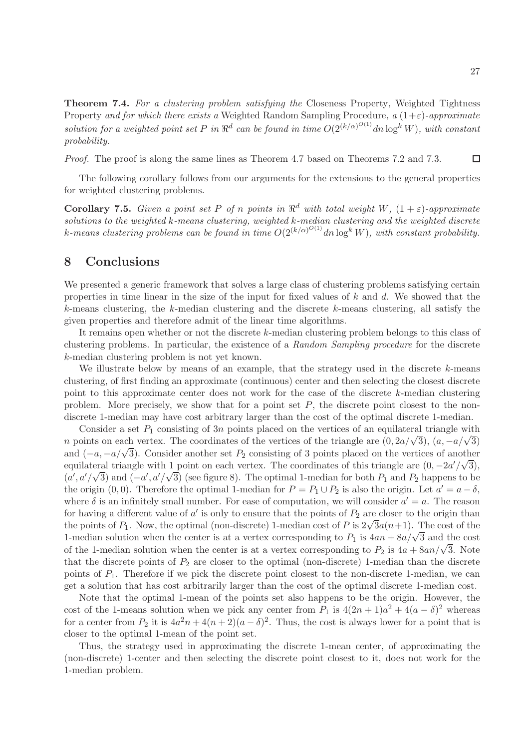Theorem 7.4. For a clustering problem satisfying the Closeness Property, Weighted Tightness Property and for which there exists a Weighted Random Sampling Procedure, a  $(1+\varepsilon)$ -approximate solution for a weighted point set P in  $\mathbb{R}^d$  can be found in time  $O(2^{(k/\alpha)^{O(1)}}dn \log^k W)$ , with constant probability.

Proof. The proof is along the same lines as Theorem 4.7 based on Theorems 7.2 and 7.3.  $\Box$ 

The following corollary follows from our arguments for the extensions to the general properties for weighted clustering problems.

**Corollary 7.5.** Given a point set P of n points in  $\mathbb{R}^d$  with total weight W,  $(1+\varepsilon)$ -approximate solutions to the weighted  $k$ -means clustering, weighted  $k$ -median clustering and the weighted discrete k-means clustering problems can be found in time  $O(2^{(k/\alpha)^{O(1)}}dn \log^k W)$ , with constant probability.

### 8 Conclusions

We presented a generic framework that solves a large class of clustering problems satisfying certain properties in time linear in the size of the input for fixed values of  $k$  and  $d$ . We showed that the  $k$ -means clustering, the  $k$ -median clustering and the discrete  $k$ -means clustering, all satisfy the given properties and therefore admit of the linear time algorithms.

It remains open whether or not the discrete k-median clustering problem belongs to this class of clustering problems. In particular, the existence of a Random Sampling procedure for the discrete k-median clustering problem is not yet known.

We illustrate below by means of an example, that the strategy used in the discrete  $k$ -means clustering, of first finding an approximate (continuous) center and then selecting the closest discrete point to this approximate center does not work for the case of the discrete k-median clustering problem. More precisely, we show that for a point set  $P$ , the discrete point closest to the nondiscrete 1-median may have cost arbitrary larger than the cost of the optimal discrete 1-median.

Consider a set  $P_1$  consisting of 3n points placed on the vertices of an equilateral triangle with n points on each vertex. The coordinates of the vertices of the triangle are  $(0, 2a/\sqrt{3})$ ,  $(a, -a/\sqrt{3})$ and  $(-a, -a/\sqrt{3})$ . Consider another set  $P_2$  consisting of 3 points placed on the vertices of another equilateral triangle with 1 point on each vertex. The coordinates of this triangle are  $(0, -2a'/\sqrt{3})$ ,  $(a', a'/\sqrt{3})$  and  $(-a', a'/\sqrt{3})$  (see figure 8). The optimal 1-median for both  $P_1$  and  $P_2$  happens to be the origin (0, 0). Therefore the optimal 1-median for  $P = P_1 \cup P_2$  is also the origin. Let  $a' = a - \delta$ , where  $\delta$  is an infinitely small number. For ease of computation, we will consider  $a' = a$ . The reason for having a different value of  $a'$  is only to ensure that the points of  $P_2$  are closer to the origin than the points of  $P_1$ . Now, the optimal (non-discrete) 1-median cost of P is  $2\sqrt{3}a(n+1)$ . The cost of the 1-median solution when the center is at a vertex corresponding to  $P_1$  is  $4an + 8a/\sqrt{3}$  and the cost of the 1-median solution when the center is at a vertex corresponding to  $P_2$  is  $4a + 8an/\sqrt{3}$ . Note that the discrete points of  $P_2$  are closer to the optimal (non-discrete) 1-median than the discrete points of  $P_1$ . Therefore if we pick the discrete point closest to the non-discrete 1-median, we can get a solution that has cost arbitrarily larger than the cost of the optimal discrete 1-median cost.

Note that the optimal 1-mean of the points set also happens to be the origin. However, the cost of the 1-means solution when we pick any center from  $P_1$  is  $4(2n+1)a^2 + 4(a - \delta)^2$  whereas for a center from  $P_2$  it is  $4a^2n + 4(n+2)(a - \delta)^2$ . Thus, the cost is always lower for a point that is closer to the optimal 1-mean of the point set.

Thus, the strategy used in approximating the discrete 1-mean center, of approximating the (non-discrete) 1-center and then selecting the discrete point closest to it, does not work for the 1-median problem.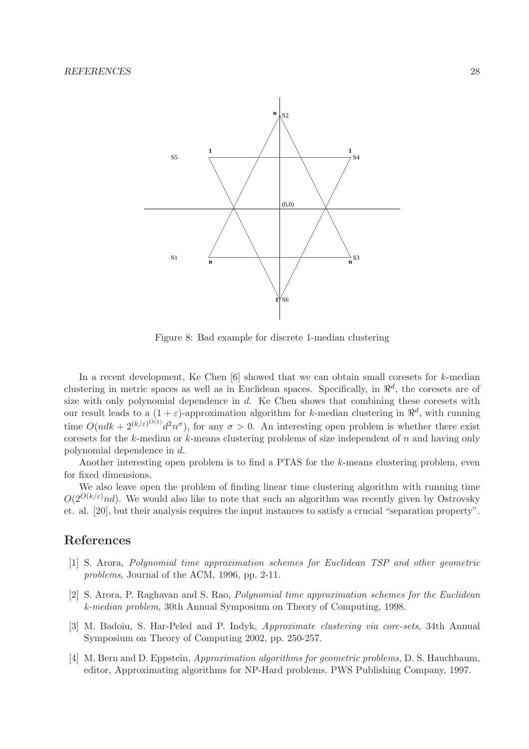

Figure 8: Bad example for discrete 1-median clustering

In a recent development, Ke Chen  $[6]$  showed that we can obtain small coresets for k-median clustering in metric spaces as well as in Euclidean spaces. Specifically, in  $\mathbb{R}^d$ , the coresets are of size with only polynomial dependence in  $d$ . Ke Chen shows that combining these coresets with our result leads to a  $(1 + \varepsilon)$ -approximation algorithm for k-median clustering in  $\mathbb{R}^d$ , with running time  $O(ndk + 2^{(k/\varepsilon)^{O(1)}}d^2n^{\sigma})$ , for any  $\sigma > 0$ . An interesting open problem is whether there exist coresets for the k-median or k-means clustering problems of size independent of n and having only polynomial dependence in d.

Another interesting open problem is to find a PTAS for the k-means clustering problem, even for fixed dimensions.

We also leave open the problem of finding linear time clustering algorithm with running time  $O(2^{O(k/\varepsilon)}nd)$ . We would also like to note that such an algorithm was recently given by Ostrovsky et. al. [20], but their analysis requires the input instances to satisfy a crucial "separation property".

# References

- [1] S. Arora, Polynomial time approximation schemes for Euclidean TSP and other geometric problems, Journal of the ACM, 1996, pp. 2-11.
- [2] S. Arora, P. Raghavan and S. Rao, Polynomial time approximation schemes for the Euclidean k-median problem, 30th Annual Symposium on Theory of Computing, 1998.
- [3] M. Badoiu, S. Har-Peled and P. Indyk, Approximate clustering via core-sets, 34th Annual Symposium on Theory of Computing 2002, pp. 250-257.
- [4] M. Bern and D. Eppstein, Approximation algorithms for geometric problems, D. S. Hauchbaum, editor, Approximating algorithms for NP-Hard problems. PWS Publishing Company, 1997.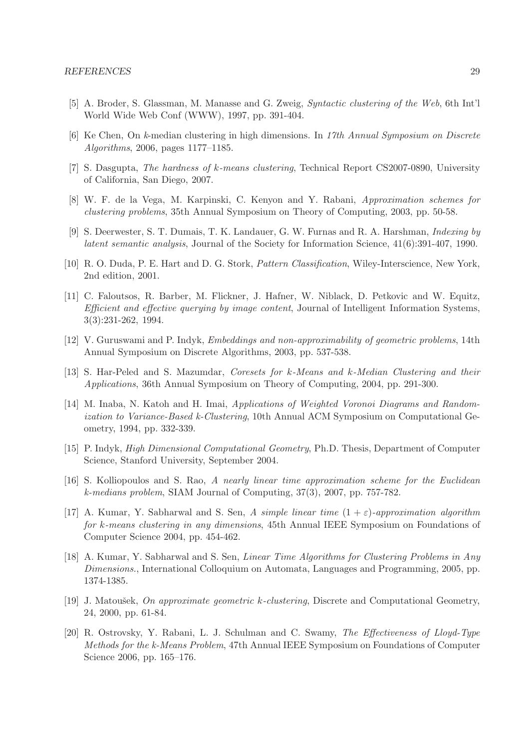- [5] A. Broder, S. Glassman, M. Manasse and G. Zweig, Syntactic clustering of the Web, 6th Int'l World Wide Web Conf (WWW), 1997, pp. 391-404.
- [6] Ke Chen, On k-median clustering in high dimensions. In 17th Annual Symposium on Discrete Algorithms, 2006, pages 1177–1185.
- [7] S. Dasgupta, The hardness of k-means clustering, Technical Report CS2007-0890, University of California, San Diego, 2007.
- [8] W. F. de la Vega, M. Karpinski, C. Kenyon and Y. Rabani, Approximation schemes for clustering problems, 35th Annual Symposium on Theory of Computing, 2003, pp. 50-58.
- [9] S. Deerwester, S. T. Dumais, T. K. Landauer, G. W. Furnas and R. A. Harshman, Indexing by latent semantic analysis, Journal of the Society for Information Science, 41(6):391-407, 1990.
- [10] R. O. Duda, P. E. Hart and D. G. Stork, Pattern Classification, Wiley-Interscience, New York, 2nd edition, 2001.
- [11] C. Faloutsos, R. Barber, M. Flickner, J. Hafner, W. Niblack, D. Petkovic and W. Equitz, Efficient and effective querying by image content, Journal of Intelligent Information Systems, 3(3):231-262, 1994.
- [12] V. Guruswami and P. Indyk, Embeddings and non-approximability of geometric problems, 14th Annual Symposium on Discrete Algorithms, 2003, pp. 537-538.
- [13] S. Har-Peled and S. Mazumdar, Coresets for k-Means and k-Median Clustering and their Applications, 36th Annual Symposium on Theory of Computing, 2004, pp. 291-300.
- [14] M. Inaba, N. Katoh and H. Imai, Applications of Weighted Voronoi Diagrams and Randomization to Variance-Based k-Clustering, 10th Annual ACM Symposium on Computational Geometry, 1994, pp. 332-339.
- [15] P. Indyk, High Dimensional Computational Geometry, Ph.D. Thesis, Department of Computer Science, Stanford University, September 2004.
- [16] S. Kolliopoulos and S. Rao, A nearly linear time approximation scheme for the Euclidean k-medians problem, SIAM Journal of Computing, 37(3), 2007, pp. 757-782.
- [17] A. Kumar, Y. Sabharwal and S. Sen, A simple linear time  $(1 + \varepsilon)$ -approximation algorithm for k-means clustering in any dimensions, 45th Annual IEEE Symposium on Foundations of Computer Science 2004, pp. 454-462.
- [18] A. Kumar, Y. Sabharwal and S. Sen, Linear Time Algorithms for Clustering Problems in Any Dimensions., International Colloquium on Automata, Languages and Programming, 2005, pp. 1374-1385.
- [19] J. Matoušek, *On approximate geometric k-clustering*, Discrete and Computational Geometry, 24, 2000, pp. 61-84.
- [20] R. Ostrovsky, Y. Rabani, L. J. Schulman and C. Swamy, The Effectiveness of Lloyd-Type Methods for the k-Means Problem, 47th Annual IEEE Symposium on Foundations of Computer Science 2006, pp. 165–176.